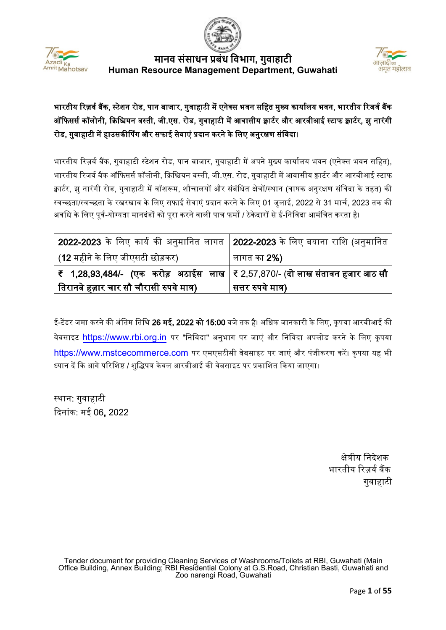



# भारतीय रिज़र्व बैंक, स्टेशन रोड, पान बाजार, गुवाहाटी में एनेक्स भवन सहित मुख्य कार्यालय भवन, भारतीय रिजर्व बैंक ऑफिसर्स कॉलोनी, क्रिश्चियन बस्ती, जी.एस. रोड, गुवाहाटी में आवासीय क्वार्टर और आरबीआई स्टाफ क्वार्टर, झु नारंगी रोड, गुवाहाटी में हाउसकीर्पिंग और सफाई सेवाएं प्रदान करने के लिए अनुरक्षण संविदा।

भारतीय रिज़र्व बैंक, गुवाहाटी स्टेशन रोड, पान बाजार, गुवाहाटी में अपने मुख्य कार्यालय भवन (एनेक्स भवन सहित), भारतीय रिजर्व बैंक ऑफिसर्स कॉलोनी, क्रिश्चियन बस्ती, जी.एस. रोड, गुवाहाटी में आवासीय क्वार्टर और आरबीआई स्टाफ क्वार्टर, झु नारंगी रोड, गुवाहाटी में वॉशरूम, शौचालयों और संबंधित क्षेत्रों/स्थान (वाषक अनुरक्षण संविदा के तहत) की स्वच्छता/स्वच्छता के रखरखाव के लिए सफाई सेवाएं प्रदान करने के लिए 01 जलाई, 2022 से 31 मार्च, 2023 तक की अवधि के लिए पूर्व-योग्यता मानदंडों को पूरा करने वाली पात्र फर्मों / ठेकेदारों से ई-निविदा आमंत्रित करता है।

| 2022-2023 के लिए कार्य की अनुमानित लागत   2022-2023 के लिए बयाना राशि (अनुमानित        |                    |
|----------------------------------------------------------------------------------------|--------------------|
| (12 महीने के लिए जीएसटी छोड़कर)                                                        | लागत का <b>2%)</b> |
| ₹   1,28,93,484/-   (एक   करोड़   अठाईस   लाख   ₹ 2,57,870/- (दो लाख संतावन हजार आठ सौ |                    |
| तिरानबे हज़ार चार सौ चौरासी रुपये मात्र)                                               | सत्तर रुपये मात्र) |

ई-टेंडर जमा करने की अंतिम तिथि 26 मई, 2022 को 15:00 बजे तक है। अधिक जानकारी के लिए, कृपया आरबीआई की वेबसाइट [https://www.rbi.org.in](https://www.rbi.org.in/) पर "निविदा" अनुभाग पर जाएं और निविदा अपलोड करने के लिए कृपया [https://www.mstcecommerce.com](https://www.mstcecommerce.com/) पर एमएसटीसी वेबसाइट पर जाएं और पंजीकरण करें। कृपया यह भी ध्यान दें कि आगे परिशिष्ट / शुद्धिपत्र केवल आरबीआई की वेबसाइट पर प्रकाशित किया जाएगा।

स्थान: गवाहाटी �दनांक: मई 06, 2022

 क्षे�ीय िनदेशक भारतीय रिज़र्व बैंक गुवाहाटी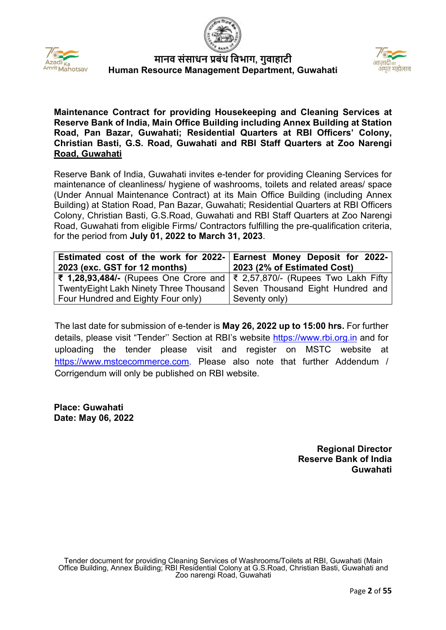





**Maintenance Contract for providing Housekeeping and Cleaning Services at Reserve Bank of India, Main Office Building including Annex Building at Station Road, Pan Bazar, Guwahati; Residential Quarters at RBI Officers' Colony, Christian Basti, G.S. Road, Guwahati and RBI Staff Quarters at Zoo Narengi Road, Guwahati**

Reserve Bank of India, Guwahati invites e-tender for providing Cleaning Services for maintenance of cleanliness/ hygiene of washrooms, toilets and related areas/ space (Under Annual Maintenance Contract) at its Main Office Building (including Annex Building) at Station Road, Pan Bazar, Guwahati; Residential Quarters at RBI Officers Colony, Christian Basti, G.S.Road, Guwahati and RBI Staff Quarters at Zoo Narengi Road, Guwahati from eligible Firms/ Contractors fulfilling the pre-qualification criteria, for the period from **July 01, 2022 to March 31, 2023**.

| Estimated cost of the work for 2022- Earnest Money Deposit for 2022-<br>2023 (exc. GST for 12 months) | 2023 (2% of Estimated Cost) |
|-------------------------------------------------------------------------------------------------------|-----------------------------|
| ₹ 1,28,93,484/- (Rupees One Crore and $\vert$ ₹ 2,57,870/- (Rupees Two Lakh Fifty                     |                             |
| Twenty Eight Lakh Ninety Three Thousand   Seven Thousand Eight Hundred and                            |                             |
| Four Hundred and Eighty Four only)                                                                    | Seventy only)               |

The last date for submission of e-tender is **May 26, 2022 up to 15:00 hrs.** For further details, please visit "Tender'' Section at RBI's website [https://www.rbi.org.in](https://www.rbi.org.in/) [a](https://www.rbi.org.in/)nd for uploading the tender please visit and register on MSTC website at [https://www.mstcecommerce.com.](https://www.mstcecommerce.com/) Please also note that further Addendum / Corrigendum will only be published on RBI website.

**Place: Guwahati Date: May 06, 2022**

> **Regional Director Reserve Bank of India Guwahati**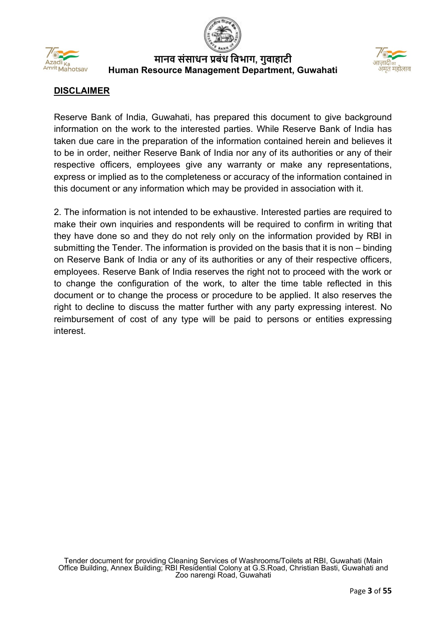



## **DISCLAIMER**

Reserve Bank of India, Guwahati, has prepared this document to give background information on the work to the interested parties. While Reserve Bank of India has taken due care in the preparation of the information contained herein and believes it to be in order, neither Reserve Bank of India nor any of its authorities or any of their respective officers, employees give any warranty or make any representations, express or implied as to the completeness or accuracy of the information contained in this document or any information which may be provided in association with it.

2. The information is not intended to be exhaustive. Interested parties are required to make their own inquiries and respondents will be required to confirm in writing that they have done so and they do not rely only on the information provided by RBI in submitting the Tender. The information is provided on the basis that it is non – binding on Reserve Bank of India or any of its authorities or any of their respective officers, employees. Reserve Bank of India reserves the right not to proceed with the work or to change the configuration of the work, to alter the time table reflected in this document or to change the process or procedure to be applied. It also reserves the right to decline to discuss the matter further with any party expressing interest. No reimbursement of cost of any type will be paid to persons or entities expressing interest.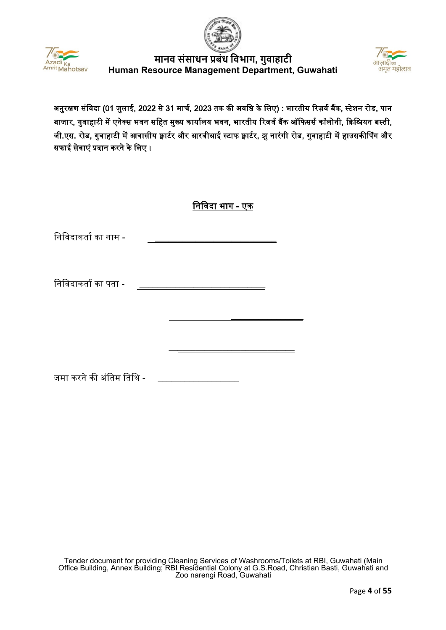





अनुरक्षण संविदा (01 जुलाई, 2022 से 31 मार्च, 2023 तक की अवधि के लिए) : भारतीय रिज़र्व बैंक, स्टेशन रोड, पान बाजार, गुवाहाटी में एनेक्स भवन सहित मुख्य कार्यालय भवन, भारतीय रिजर्व बैंक ऑफिसर्स कॉलोनी, क्रिश्चियन बस्ती, जी.एस. रोड, गुवाहाटी में आवासीय क्वार्टर और आरबीआई स्टाफ क्वार्टर, झु नारंगी रोड, गुवाहाटी में हाउसकीर्पिंग और सफाई सेवाएं �दान करने के िलए ।

|  | ानावदा भाग - |  | ∪क |
|--|--------------|--|----|
|--|--------------|--|----|

निविदाकर्ता का नाम -

निविदाकर्ता का पता -

 $\overline{\phantom{a}}$  , and the contract of the contract of the contract of the contract of the contract of the contract of the contract of the contract of the contract of the contract of the contract of the contract of the contrac

 $\mathcal{L}_\text{max}$  and  $\mathcal{L}_\text{max}$  and  $\mathcal{L}_\text{max}$  and  $\mathcal{L}_\text{max}$  and  $\mathcal{L}_\text{max}$ 

जमा करने की अंतिम तिथि -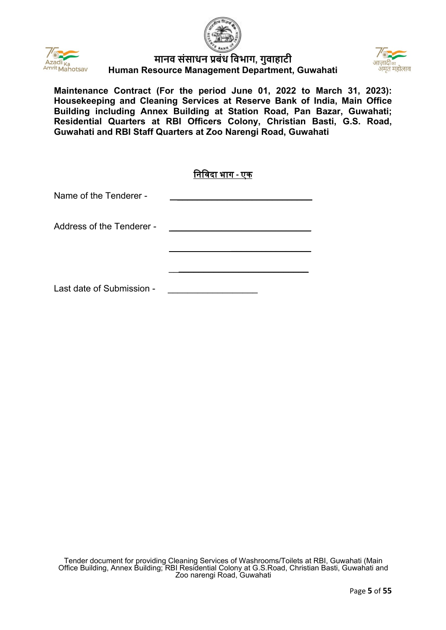





**Maintenance Contract (For the period June 01, 2022 to March 31, 2023): Housekeeping and Cleaning Services at Reserve Bank of India, Main Office Building including Annex Building at Station Road, Pan Bazar, Guwahati; Residential Quarters at RBI Officers Colony, Christian Basti, G.S. Road, Guwahati and RBI Staff Quarters at Zoo Narengi Road, Guwahati**

|                           | निविदा भाग - एक |
|---------------------------|-----------------|
| Name of the Tenderer -    |                 |
| Address of the Tenderer - |                 |
|                           |                 |
| Last date of Submission - |                 |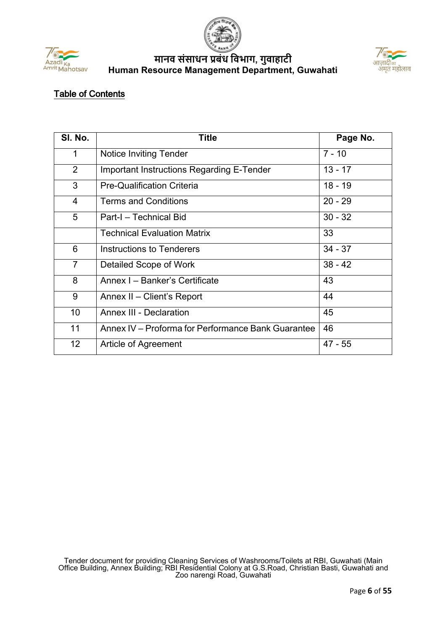





# Table of Contents

| SI. No.         | <b>Title</b>                                       | Page No.  |
|-----------------|----------------------------------------------------|-----------|
| $\mathbf 1$     | <b>Notice Inviting Tender</b>                      | $7 - 10$  |
| $\overline{2}$  | Important Instructions Regarding E-Tender          | $13 - 17$ |
| 3               | <b>Pre-Qualification Criteria</b>                  | $18 - 19$ |
| $\overline{4}$  | <b>Terms and Conditions</b>                        | $20 - 29$ |
| 5               | Part-I - Technical Bid                             | $30 - 32$ |
|                 | <b>Technical Evaluation Matrix</b>                 | 33        |
| 6               | Instructions to Tenderers                          | $34 - 37$ |
| $\overline{7}$  | Detailed Scope of Work                             | $38 - 42$ |
| 8               | Annex I - Banker's Certificate                     | 43        |
| 9               | Annex II - Client's Report                         | 44        |
| 10              | <b>Annex III - Declaration</b>                     | 45        |
| 11              | Annex IV - Proforma for Performance Bank Guarantee | 46        |
| 12 <sub>2</sub> | Article of Agreement                               | $47 - 55$ |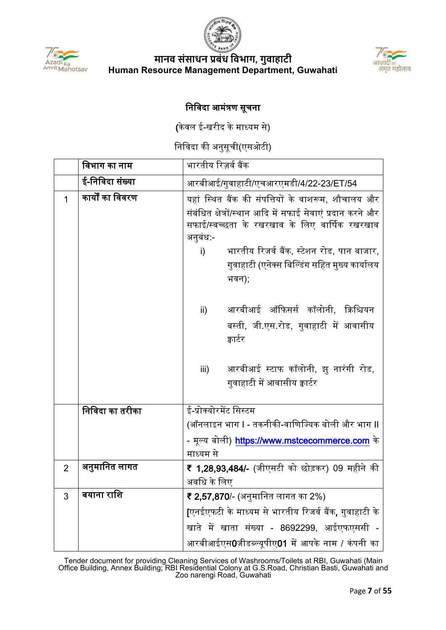



# िनिवदा आमं�ण सूचना

(केवल ई-खरीद के माध्यम से)

निविदा की अनुसूची(एसओटी)

|                | विभाग का नाम     | भारतीय रिज़र्व बैंक                                                                                                                                                                                                                                                                         |
|----------------|------------------|---------------------------------------------------------------------------------------------------------------------------------------------------------------------------------------------------------------------------------------------------------------------------------------------|
|                | ई-निविदा संख्या  | आरबीआई/गुवाहाटी/एचआरएमडी/4/22-23/ET/54                                                                                                                                                                                                                                                      |
| 1              | कार्यों का विवरण | यहां स्थित बैंक की संपत्तियों के वाशरूम, शौचालय और<br>संबंधित क्षेत्रों/स्थान आदि में सफाई सेवाएं प्रदान करने और<br>सफाई/स्वच्छता के रखरखाव के लिए वार्षिक रखरखाव<br>अनुबंध:-<br>भारतीय रिजर्व बैंक, स्टेशन रोड, पान बाजार,<br>i)<br>गुवाहाटी (एनेक्स बिल्डिंग सहित मुख्य कार्यालय<br>भवन); |
|                |                  | आरबीआई ऑफिसर्स कॉलोनी, क्रिश्चियन<br>$\mathsf{ii}$<br>बस्ती, जी.एस.रोड, गुवाहाटी में आवासीय<br>क्वार्टर<br>आरबीआई स्टाफ कॉलोनी, झु नारंगी रोड,<br>iii)<br>गुवाहाटी में आवासीय क्वार्टर                                                                                                      |
|                | निविदा का तरीका  | ई-प्रोक्योरमेंट सिस्टम                                                                                                                                                                                                                                                                      |
|                |                  | (ऑनलाइन भाग I - तकनीकी-वाणिज्यिक बोली और भाग II                                                                                                                                                                                                                                             |
|                |                  | - मूल्य बोली) https://www.mstcecommerce.com के                                                                                                                                                                                                                                              |
|                |                  | माध्यम से                                                                                                                                                                                                                                                                                   |
| $\overline{2}$ | अनुमानित लागत    | ₹ 1,28,93,484/- (जीएसटी को छोड़कर) 09 महीने की<br>अवधि के लिए                                                                                                                                                                                                                               |
| 3              | बयाना राशि       | ₹ 2,57,870/- (अनुमानित लागत का 2%)                                                                                                                                                                                                                                                          |
|                |                  | [एनईएफटी के माध्यम से भारतीय रिजर्व बैंक, गुवाहाटी के                                                                                                                                                                                                                                       |
|                |                  | खाते में खाता संख्या - 8692299, आईएफएससी -                                                                                                                                                                                                                                                  |
|                |                  | आरबीआईएस0जीडब्ल्यूपीए01 में आपके नाम / कंपनी का                                                                                                                                                                                                                                             |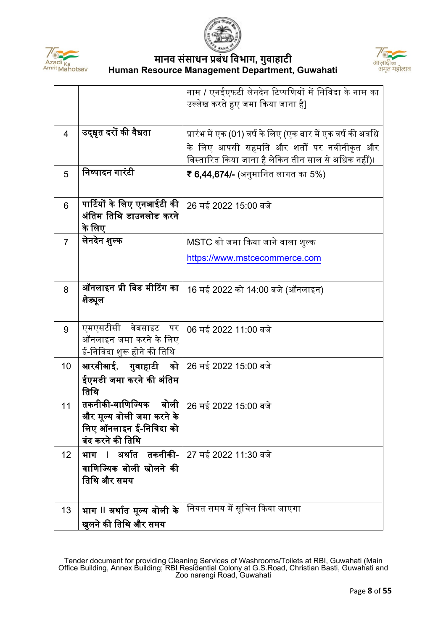



|                 |                                                                                                     | नाम / एनईएफटी लेनदेन टिप्पणियों में निविदा के नाम का<br>उल्लेख करते हुए जमा किया जाना है]                                                                        |
|-----------------|-----------------------------------------------------------------------------------------------------|------------------------------------------------------------------------------------------------------------------------------------------------------------------|
| $\overline{4}$  | उद्धृत दरों की वैधता                                                                                | प्रारंभ में एक (01) वर्ष के लिए (एक बार में एक वर्ष की अवधि<br>के लिए आपसी सहमति और शर्तों पर नवीनीकृत और<br>विस्तारित किया जाना है लेकिन तीन साल से अधिक नहीं)। |
| 5               | निष्पादन गारंटी                                                                                     | ₹ 6,44,674/- (अनुमानित लागत का 5%)                                                                                                                               |
| 6               | पार्टियों के लिए एनआईटी की<br>अंतिम तिथि डाउनलोड करने<br>के लिए                                     | 26 मई 2022 15:00 बजे                                                                                                                                             |
| $\overline{7}$  | लेनदेन शुल्क                                                                                        | MSTC को जमा किया जाने वाला शुल्क                                                                                                                                 |
|                 |                                                                                                     | https://www.mstcecommerce.com                                                                                                                                    |
| 8               | ऑनलाइन प्री बिड मीटिंग का<br>शेड्यूल                                                                | 16 मई 2022 को 14:00 बजे (ऑनलाइन)                                                                                                                                 |
| 9               | एमएसटीसी वेबसाइट पर<br>ऑनलाइन जमा करने के लिए<br>ई-निविदा शुरू होने की तिथि                         | 06 मई 2022 11:00 बजे                                                                                                                                             |
| 10 <sup>°</sup> | आरबीआई, गुवाहाटी को                                                                                 | 26 मई 2022 15:00 बजे                                                                                                                                             |
|                 | ईएमडी जमा करने की अंतिम<br>तिथि                                                                     |                                                                                                                                                                  |
| 11              | तकनीकी-वाणिज्यिक<br>बोली<br>और मूल्य बोली जमा करने के<br>लिए ऑनलाइन ई-निविदा को<br>बंद करने की तिथि | 26 मई 2022 15:00 बजे                                                                                                                                             |
| 12 <sup>2</sup> | भाग । अर्थात तकनीकी-<br>वाणिज्यिक बोली खोलने की<br>तिथि और समय                                      | 27 मई 2022 11:30 बजे                                                                                                                                             |
| 13              | भाग II अर्थात मूल्य बोली के<br>खुलने की तिथि और समय                                                 | नियत समय में सूचित किया जाएगा                                                                                                                                    |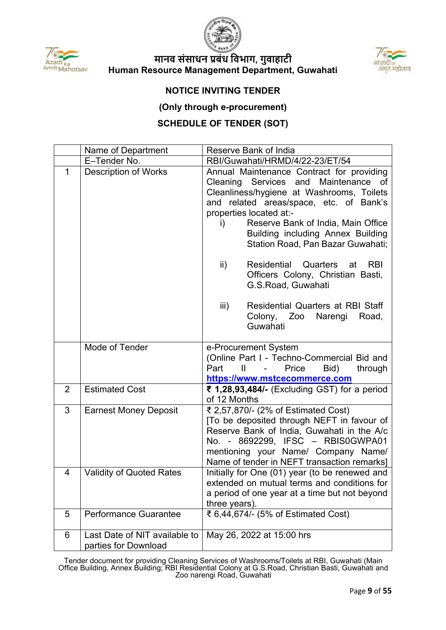



#### **NOTICE INVITING TENDER**

#### **(Only through e-procurement)**

## **SCHEDULE OF TENDER (SOT)**

|                | Name of Department                                    | Reserve Bank of India                                                                                                                                                                                                                                                                                                         |  |  |  |  |  |  |  |  |
|----------------|-------------------------------------------------------|-------------------------------------------------------------------------------------------------------------------------------------------------------------------------------------------------------------------------------------------------------------------------------------------------------------------------------|--|--|--|--|--|--|--|--|
|                | E-Tender No.                                          | RBI/Guwahati/HRMD/4/22-23/ET/54                                                                                                                                                                                                                                                                                               |  |  |  |  |  |  |  |  |
| $\mathbf{1}$   | <b>Description of Works</b>                           | Annual Maintenance Contract for providing<br>Maintenance of<br>Cleaning Services and<br>Cleanliness/hygiene at Washrooms, Toilets<br>and related areas/space, etc. of Bank's<br>properties located at:-<br>Reserve Bank of India, Main Office<br>i)<br>Building including Annex Building<br>Station Road, Pan Bazar Guwahati; |  |  |  |  |  |  |  |  |
|                |                                                       | ii)<br>Residential<br>Quarters<br><b>RBI</b><br>at<br>Officers Colony, Christian Basti,<br>G.S.Road, Guwahati                                                                                                                                                                                                                 |  |  |  |  |  |  |  |  |
|                |                                                       | iii)<br><b>Residential Quarters at RBI Staff</b><br>Colony, Zoo Narengi<br>Road,<br>Guwahati                                                                                                                                                                                                                                  |  |  |  |  |  |  |  |  |
|                | Mode of Tender                                        | e-Procurement System<br>(Online Part I - Techno-Commercial Bid and<br>Bid)<br>Price<br>through<br>Part<br>$\mathbf{\mathbf{\mathsf{H}}}$<br>$\sim 100$<br>https://www.mstcecommerce.com                                                                                                                                       |  |  |  |  |  |  |  |  |
| $\overline{2}$ | <b>Estimated Cost</b>                                 | ₹ 1,28,93,484/- (Excluding GST) for a period<br>of 12 Months                                                                                                                                                                                                                                                                  |  |  |  |  |  |  |  |  |
| 3              | <b>Earnest Money Deposit</b>                          | ₹ 2,57,870/- (2% of Estimated Cost)<br>[To be deposited through NEFT in favour of<br>Reserve Bank of India, Guwahati in the A/c<br>No. - 8692299, IFSC - RBIS0GWPA01<br>mentioning your Name/ Company Name/<br>Name of tender in NEFT transaction remarks]                                                                    |  |  |  |  |  |  |  |  |
| $\overline{4}$ | <b>Validity of Quoted Rates</b>                       | Initially for One (01) year (to be renewed and<br>extended on mutual terms and conditions for<br>a period of one year at a time but not beyond<br>three years).                                                                                                                                                               |  |  |  |  |  |  |  |  |
| 5              | <b>Performance Guarantee</b>                          | ₹ 6,44,674/- (5% of Estimated Cost)                                                                                                                                                                                                                                                                                           |  |  |  |  |  |  |  |  |
| 6              | Last Date of NIT available to<br>parties for Download | May 26, 2022 at 15:00 hrs                                                                                                                                                                                                                                                                                                     |  |  |  |  |  |  |  |  |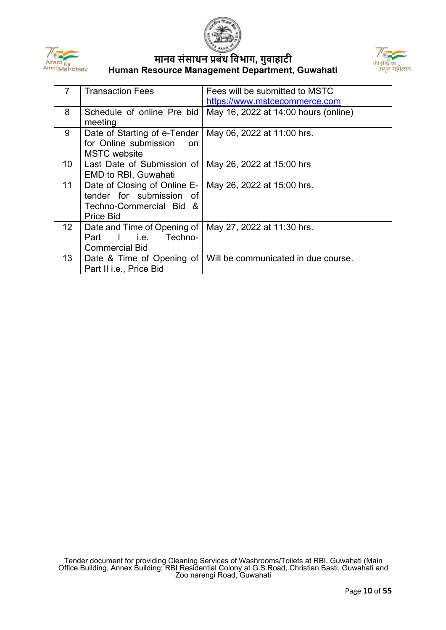





| 7               | <b>Transaction Fees</b>                | Fees will be submitted to MSTC       |
|-----------------|----------------------------------------|--------------------------------------|
|                 |                                        | https://www.mstcecommerce.com        |
| 8               | Schedule of online Pre bid             | May 16, 2022 at 14:00 hours (online) |
|                 | meeting                                |                                      |
| 9               | Date of Starting of e-Tender           | May 06, 2022 at 11:00 hrs.           |
|                 | for Online submission<br><sub>on</sub> |                                      |
|                 | <b>MSTC</b> website                    |                                      |
| 10 <sup>°</sup> | Last Date of Submission of             | May 26, 2022 at 15:00 hrs            |
|                 | <b>EMD to RBI, Guwahati</b>            |                                      |
| 11              | Date of Closing of Online E-           | May 26, 2022 at 15:00 hrs.           |
|                 | tender for submission of               |                                      |
|                 | Techno-Commercial Bid &                |                                      |
|                 | Price Bid                              |                                      |
| 12 <sup>2</sup> | Date and Time of Opening of            | May 27, 2022 at 11:30 hrs.           |
|                 | Techno-<br>lie.<br>Part                |                                      |
|                 | <b>Commercial Bid</b>                  |                                      |
| 13 <sup>°</sup> | Date & Time of Opening of              | Will be communicated in due course.  |
|                 | Part II i.e., Price Bid                |                                      |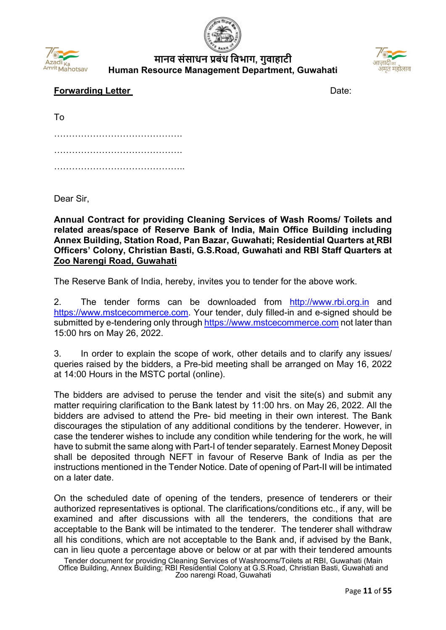





## **Forwarding Letter**  Date:

| To |  |  |  |  |  |  |  |  |  |  |  |  |  |  |  |  |  |  |  |  |  |  |
|----|--|--|--|--|--|--|--|--|--|--|--|--|--|--|--|--|--|--|--|--|--|--|
|    |  |  |  |  |  |  |  |  |  |  |  |  |  |  |  |  |  |  |  |  |  |  |
|    |  |  |  |  |  |  |  |  |  |  |  |  |  |  |  |  |  |  |  |  |  |  |
|    |  |  |  |  |  |  |  |  |  |  |  |  |  |  |  |  |  |  |  |  |  |  |

Dear Sir,

**Annual Contract for providing Cleaning Services of Wash Rooms/ Toilets and related areas/space of Reserve Bank of India, Main Office Building including Annex Building, Station Road, Pan Bazar, Guwahati; Residential Quarters at RBI Officers' Colony, Christian Basti, G.S.Road, Guwahati and RBI Staff Quarters at Zoo Narengi Road, Guwahati**

The Reserve Bank of India, hereby, invites you to tender for the above work.

2. The tender forms can be downloaded from [http://www.rbi.org.in](https://www.rbi.org.in/) and [https://www.mstcecommerce.com.](https://www.mstcecommerce.com/) Your tender, duly filled-in and e-signed should be submitted by e-tendering only through [https://www.mstcecommerce.com](https://www.mstcecommerce.com/) not later than 15:00 hrs on May 26, 2022.

3. In order to explain the scope of work, other details and to clarify any issues/ queries raised by the bidders, a Pre-bid meeting shall be arranged on May 16, 2022 at 14:00 Hours in the MSTC portal (online).

The bidders are advised to peruse the tender and visit the site(s) and submit any matter requiring clarification to the Bank latest by 11:00 hrs. on May 26, 2022. All the bidders are advised to attend the Pre- bid meeting in their own interest. The Bank discourages the stipulation of any additional conditions by the tenderer. However, in case the tenderer wishes to include any condition while tendering for the work, he will have to submit the same along with Part-I of tender separately. Earnest Money Deposit shall be deposited through NEFT in favour of Reserve Bank of India as per the instructions mentioned in the Tender Notice. Date of opening of Part-II will be intimated on a later date.

On the scheduled date of opening of the tenders, presence of tenderers or their authorized representatives is optional. The clarifications/conditions etc., if any, will be examined and after discussions with all the tenderers, the conditions that are acceptable to the Bank will be intimated to the tenderer. The tenderer shall withdraw all his conditions, which are not acceptable to the Bank and, if advised by the Bank, can in lieu quote a percentage above or below or at par with their tendered amounts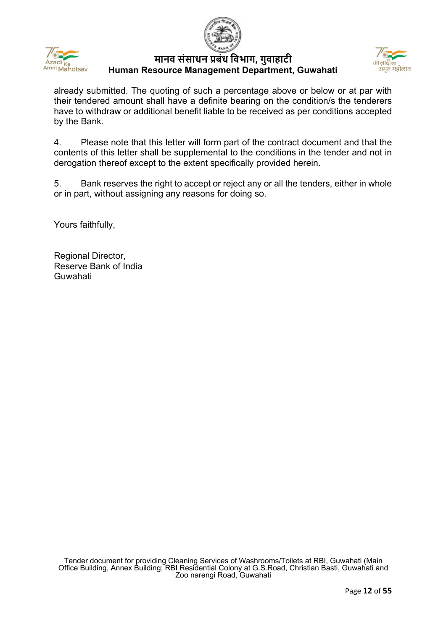



already submitted. The quoting of such a percentage above or below or at par with their tendered amount shall have a definite bearing on the condition/s the tenderers have to withdraw or additional benefit liable to be received as per conditions accepted by the Bank.

4. Please note that this letter will form part of the contract document and that the contents of this letter shall be supplemental to the conditions in the tender and not in derogation thereof except to the extent specifically provided herein.

5. Bank reserves the right to accept or reject any or all the tenders, either in whole or in part, without assigning any reasons for doing so.

Yours faithfully,

Regional Director, Reserve Bank of India Guwahati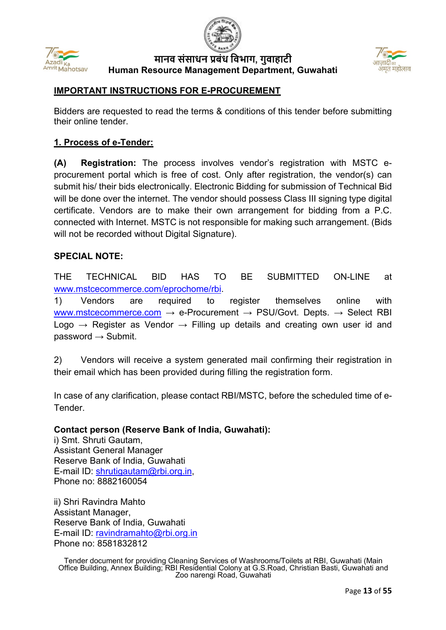



#### **IMPORTANT INSTRUCTIONS FOR E-PROCUREMENT**

Bidders are requested to read the terms & conditions of this tender before submitting their online tender.

#### **1. Process of e-Tender:**

**(A) Registration:** The process involves vendor's registration with MSTC eprocurement portal which is free of cost. Only after registration, the vendor(s) can submit his/ their bids electronically. Electronic Bidding for submission of Technical Bid will be done over the internet. The vendor should possess Class III signing type digital certificate. Vendors are to make their own arrangement for bidding from a P.C. connected with Internet. MSTC is not responsible for making such arrangement. (Bids will not be recorded without Digital Signature).

#### **SPECIAL NOTE:**

THE TECHNICAL BID HAS TO BE SUBMITTED ON-LINE at [www.mstcecommerce.com/eprochome/rbi.](https://www.mstcecommerce.com/eprochome/rbi)

1) Vendors are required to register themselves online with [www.mstcecommerce.com](https://www.mstcecommerce.com/)  $\rightarrow$  e-Procurement  $\rightarrow$  PSU/Govt. Depts.  $\rightarrow$  Select RBI Logo  $\rightarrow$  Register as Vendor  $\rightarrow$  Filling up details and creating own user id and password  $\rightarrow$  Submit.

2) Vendors will receive a system generated mail confirming their registration in their email which has been provided during filling the registration form.

In case of any clarification, please contact RBI/MSTC, before the scheduled time of e-**Tender** 

#### **Contact person (Reserve Bank of India, Guwahati):**

i) Smt. Shruti Gautam, Assistant General Manager Reserve Bank of India, Guwahati E-mail ID: [shrutigautam@rbi.org.in,](mailto:shrutigautam@rbi.org.in) Phone no: 8882160054

ii) Shri Ravindra Mahto Assistant Manager, Reserve Bank of India, Guwahati E-mail ID: [ravindramahto@rbi.org.in](mailto:ravindramahto@rbi.org.in) Phone no: 8581832812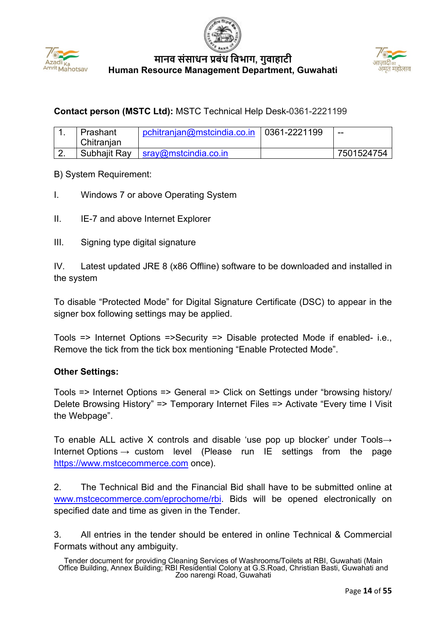





# **Contact person (MSTC Ltd):** MSTC Technical Help Desk-0361-2221199

| Prashant     | pchitranian@mstcindia.co.in   0361-2221199 | $- -$      |
|--------------|--------------------------------------------|------------|
| Chitranian   |                                            |            |
| Subhajit Ray | $\blacksquare$ sray@mstcindia.co.in        | 7501524754 |

B) System Requirement:

- I. Windows 7 or above Operating System
- II. IE-7 and above Internet Explorer
- III. Signing type digital signature

IV. Latest updated JRE 8 (x86 Offline) software to be downloaded and installed in the system

To disable "Protected Mode" for Digital Signature Certificate (DSC) to appear in the signer box following settings may be applied.

Tools => Internet Options =>Security => Disable protected Mode if enabled- i.e., Remove the tick from the tick box mentioning "Enable Protected Mode".

#### **Other Settings:**

Tools => Internet Options => General => Click on Settings under "browsing history/ Delete Browsing History" => Temporary Internet Files => Activate "Every time I Visit the Webpage".

To enable ALL active X controls and disable 'use pop up blocker' under Tools→ Internet Options  $\rightarrow$  custom level (Please run IE settings from the page [https://www.mstcecommerce.com](https://www.mstcecommerce.com/) once).

2. The Technical Bid and the Financial Bid shall have to be submitted online at [www.mstcecommerce.com/eprochome/rbi.](https://www.mstcecommerce.com/eprochome/rbi) Bids will be opened electronically on specified date and time as given in the Tender.

3. All entries in the tender should be entered in online Technical & Commercial Formats without any ambiguity.

Tender document for providing Cleaning Services of Washrooms/Toilets at RBI, Guwahati (Main Office Building, Annex Building; RBI Residential Colony at G.S.Road, Christian Basti, Guwahati and Zoo narengi Road, Guwahati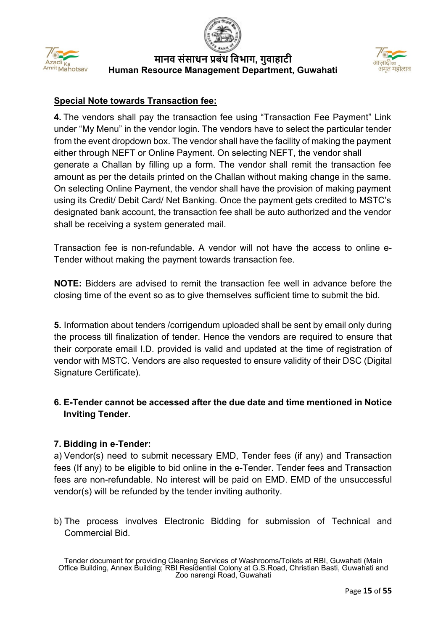



## **Special Note towards Transaction fee:**

**4.** The vendors shall pay the transaction fee using "Transaction Fee Payment" Link under "My Menu" in the vendor login. The vendors have to select the particular tender from the event dropdown box. The vendor shall have the facility of making the payment either through NEFT or Online Payment. On selecting NEFT, the vendor shall generate a Challan by filling up a form. The vendor shall remit the transaction fee amount as per the details printed on the Challan without making change in the same. On selecting Online Payment, the vendor shall have the provision of making payment using its Credit/ Debit Card/ Net Banking. Once the payment gets credited to MSTC's designated bank account, the transaction fee shall be auto authorized and the vendor shall be receiving a system generated mail.

Transaction fee is non-refundable. A vendor will not have the access to online e-Tender without making the payment towards transaction fee.

**NOTE:** Bidders are advised to remit the transaction fee well in advance before the closing time of the event so as to give themselves sufficient time to submit the bid.

**5.** Information about tenders /corrigendum uploaded shall be sent by email only during the process till finalization of tender. Hence the vendors are required to ensure that their corporate email I.D. provided is valid and updated at the time of registration of vendor with MSTC. Vendors are also requested to ensure validity of their DSC (Digital Signature Certificate).

## **6. E-Tender cannot be accessed after the due date and time mentioned in Notice Inviting Tender.**

## **7. Bidding in e-Tender:**

a) Vendor(s) need to submit necessary EMD, Tender fees (if any) and Transaction fees (If any) to be eligible to bid online in the e-Tender. Tender fees and Transaction fees are non-refundable. No interest will be paid on EMD. EMD of the unsuccessful vendor(s) will be refunded by the tender inviting authority.

b) The process involves Electronic Bidding for submission of Technical and Commercial Bid.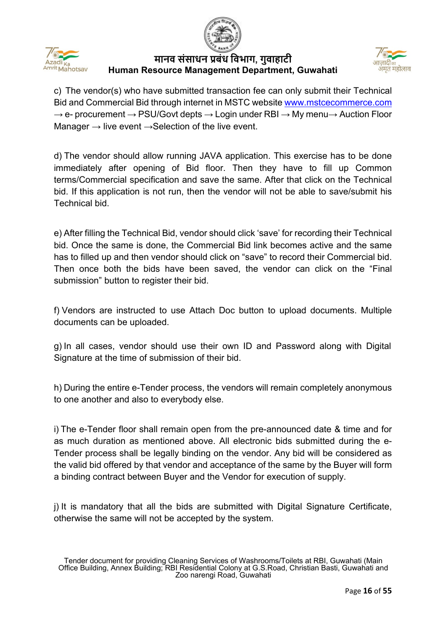





c) The vendor(s) who have submitted transaction fee can only submit their Technical Bid and Commercial Bid through internet in MSTC website [www.mstcecommerce.com](https://www.mstcecommerce.com/)  $\rightarrow$  e- procurement  $\rightarrow$  PSU/Govt depts  $\rightarrow$  Login under RBI  $\rightarrow$  My menu $\rightarrow$  Auction Floor Manager  $\rightarrow$  live event  $\rightarrow$  Selection of the live event.

d) The vendor should allow running JAVA application. This exercise has to be done immediately after opening of Bid floor. Then they have to fill up Common terms/Commercial specification and save the same. After that click on the Technical bid. If this application is not run, then the vendor will not be able to save/submit his Technical bid.

e) After filling the Technical Bid, vendor should click 'save' for recording their Technical bid. Once the same is done, the Commercial Bid link becomes active and the same has to filled up and then vendor should click on "save" to record their Commercial bid. Then once both the bids have been saved, the vendor can click on the "Final submission" button to register their bid.

f) Vendors are instructed to use Attach Doc button to upload documents. Multiple documents can be uploaded.

g) In all cases, vendor should use their own ID and Password along with Digital Signature at the time of submission of their bid.

h) During the entire e-Tender process, the vendors will remain completely anonymous to one another and also to everybody else.

i) The e-Tender floor shall remain open from the pre-announced date & time and for as much duration as mentioned above. All electronic bids submitted during the e-Tender process shall be legally binding on the vendor. Any bid will be considered as the valid bid offered by that vendor and acceptance of the same by the Buyer will form a binding contract between Buyer and the Vendor for execution of supply.

j) It is mandatory that all the bids are submitted with Digital Signature Certificate, otherwise the same will not be accepted by the system.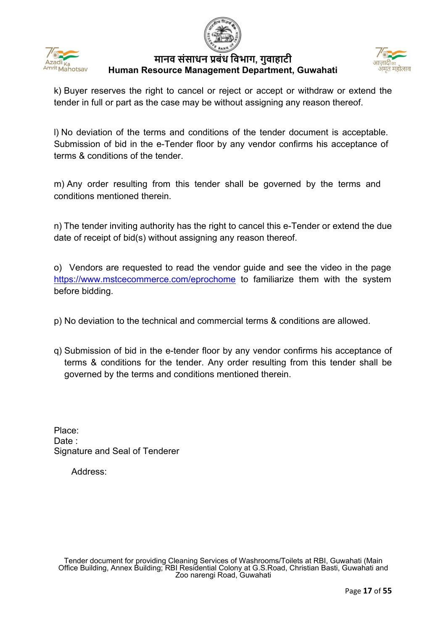







k) Buyer reserves the right to cancel or reject or accept or withdraw or extend the tender in full or part as the case may be without assigning any reason thereof.

l) No deviation of the terms and conditions of the tender document is acceptable. Submission of bid in the e-Tender floor by any vendor confirms his acceptance of terms & conditions of the tender.

m) Any order resulting from this tender shall be governed by the terms and conditions mentioned therein.

n) The tender inviting authority has the right to cancel this e-Tender or extend the due date of receipt of bid(s) without assigning any reason thereof.

o) Vendors are requested to read the vendor guide and see the video in the page <https://www.mstcecommerce.com/eprochome> to familiarize them with the system before bidding.

- p) No deviation to the technical and commercial terms & conditions are allowed.
- q) Submission of bid in the e-tender floor by any vendor confirms his acceptance of terms & conditions for the tender. Any order resulting from this tender shall be governed by the terms and conditions mentioned therein.

Place: Date : Signature and Seal of Tenderer

Address: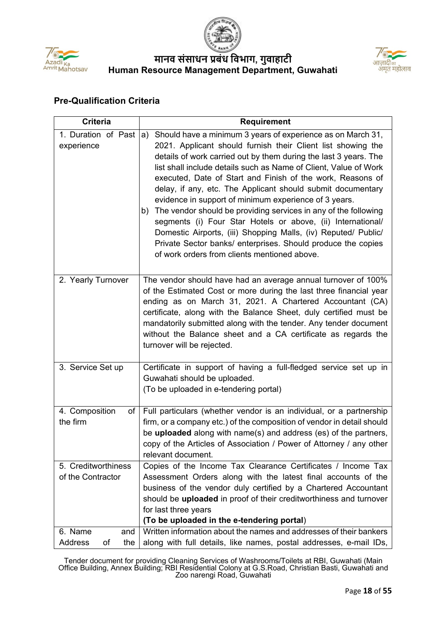



#### **Pre-Qualification Criteria**

| <b>Criteria</b>                          | <b>Requirement</b>                                                                                                                                                                                                                                                                                                                                                                                                                                                                                                                                                                                                                                                                                                                                                                        |
|------------------------------------------|-------------------------------------------------------------------------------------------------------------------------------------------------------------------------------------------------------------------------------------------------------------------------------------------------------------------------------------------------------------------------------------------------------------------------------------------------------------------------------------------------------------------------------------------------------------------------------------------------------------------------------------------------------------------------------------------------------------------------------------------------------------------------------------------|
| 1. Duration of Past<br>experience        | Should have a minimum 3 years of experience as on March 31,<br>a)<br>2021. Applicant should furnish their Client list showing the<br>details of work carried out by them during the last 3 years. The<br>list shall include details such as Name of Client, Value of Work<br>executed, Date of Start and Finish of the work, Reasons of<br>delay, if any, etc. The Applicant should submit documentary<br>evidence in support of minimum experience of 3 years.<br>The vendor should be providing services in any of the following<br>b)<br>segments (i) Four Star Hotels or above, (ii) International/<br>Domestic Airports, (iii) Shopping Malls, (iv) Reputed/ Public/<br>Private Sector banks/ enterprises. Should produce the copies<br>of work orders from clients mentioned above. |
| 2. Yearly Turnover                       | The vendor should have had an average annual turnover of 100%<br>of the Estimated Cost or more during the last three financial year<br>ending as on March 31, 2021. A Chartered Accountant (CA)<br>certificate, along with the Balance Sheet, duly certified must be<br>mandatorily submitted along with the tender. Any tender document<br>without the Balance sheet and a CA certificate as regards the<br>turnover will be rejected.                                                                                                                                                                                                                                                                                                                                                   |
| 3. Service Set up                        | Certificate in support of having a full-fledged service set up in<br>Guwahati should be uploaded.<br>(To be uploaded in e-tendering portal)                                                                                                                                                                                                                                                                                                                                                                                                                                                                                                                                                                                                                                               |
| 4. Composition<br>of I<br>the firm       | Full particulars (whether vendor is an individual, or a partnership<br>firm, or a company etc.) of the composition of vendor in detail should<br>be <b>uploaded</b> along with name(s) and address (es) of the partners,<br>copy of the Articles of Association / Power of Attorney / any other<br>relevant document.                                                                                                                                                                                                                                                                                                                                                                                                                                                                     |
| 5. Creditworthiness<br>of the Contractor | Copies of the Income Tax Clearance Certificates / Income Tax<br>Assessment Orders along with the latest final accounts of the<br>business of the vendor duly certified by a Chartered Accountant<br>should be uploaded in proof of their creditworthiness and turnover<br>for last three years<br>(To be uploaded in the e-tendering portal)                                                                                                                                                                                                                                                                                                                                                                                                                                              |
| 6. Name<br>and<br>Address<br>of<br>the   | Written information about the names and addresses of their bankers<br>along with full details, like names, postal addresses, e-mail IDs,                                                                                                                                                                                                                                                                                                                                                                                                                                                                                                                                                                                                                                                  |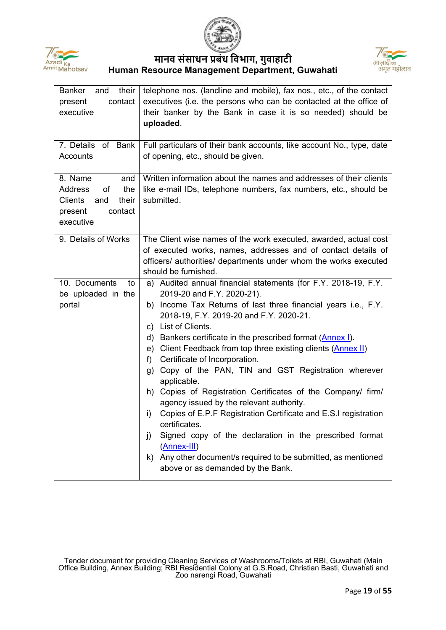





| <b>Banker</b><br>their  <br>and<br>contact<br>present<br>executive<br>7. Details of Bank                           | telephone nos. (landline and mobile), fax nos., etc., of the contact<br>executives (i.e. the persons who can be contacted at the office of<br>their banker by the Bank in case it is so needed) should be<br>uploaded.<br>Full particulars of their bank accounts, like account No., type, date                                                                                                                                                                                                                                                                                                                                                                                                                                                                                                                                                                                                  |  |  |  |  |
|--------------------------------------------------------------------------------------------------------------------|--------------------------------------------------------------------------------------------------------------------------------------------------------------------------------------------------------------------------------------------------------------------------------------------------------------------------------------------------------------------------------------------------------------------------------------------------------------------------------------------------------------------------------------------------------------------------------------------------------------------------------------------------------------------------------------------------------------------------------------------------------------------------------------------------------------------------------------------------------------------------------------------------|--|--|--|--|
| Accounts                                                                                                           | of opening, etc., should be given.                                                                                                                                                                                                                                                                                                                                                                                                                                                                                                                                                                                                                                                                                                                                                                                                                                                               |  |  |  |  |
| 8. Name<br>and<br><b>Address</b><br>of<br>the<br><b>Clients</b><br>and<br>their<br>contact<br>present<br>executive | Written information about the names and addresses of their clients<br>like e-mail IDs, telephone numbers, fax numbers, etc., should be<br>submitted.                                                                                                                                                                                                                                                                                                                                                                                                                                                                                                                                                                                                                                                                                                                                             |  |  |  |  |
| 9. Details of Works                                                                                                | The Client wise names of the work executed, awarded, actual cost<br>of executed works, names, addresses and of contact details of<br>officers/ authorities/ departments under whom the works executed<br>should be furnished.                                                                                                                                                                                                                                                                                                                                                                                                                                                                                                                                                                                                                                                                    |  |  |  |  |
| 10. Documents<br>to<br>be uploaded in the<br>portal                                                                | a) Audited annual financial statements (for F.Y. 2018-19, F.Y.<br>2019-20 and F.Y. 2020-21).<br>b) Income Tax Returns of last three financial years i.e., F.Y.<br>2018-19, F.Y. 2019-20 and F.Y. 2020-21.<br>c) List of Clients.<br>d) Bankers certificate in the prescribed format (Annex I).<br>e) Client Feedback from top three existing clients (Annex II)<br>Certificate of Incorporation.<br>f)<br>g) Copy of the PAN, TIN and GST Registration wherever<br>applicable.<br>h) Copies of Registration Certificates of the Company/ firm/<br>agency issued by the relevant authority.<br>Copies of E.P.F Registration Certificate and E.S.I registration<br>i)<br>certificates.<br>Signed copy of the declaration in the prescribed format<br>j)<br>$(\underline{\text{Annex-III}})$<br>k) Any other document/s required to be submitted, as mentioned<br>above or as demanded by the Bank. |  |  |  |  |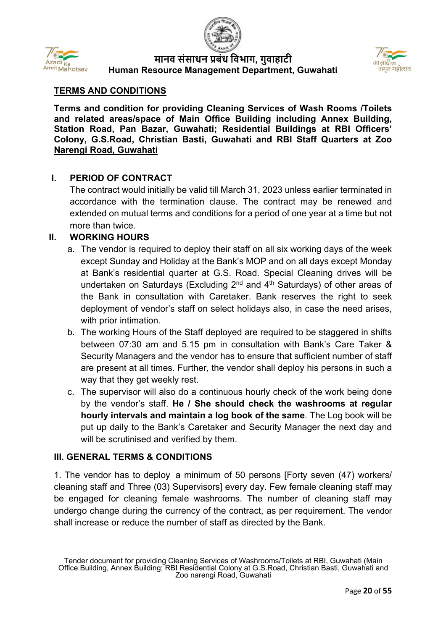





## **TERMS AND CONDITIONS**

**Terms and condition for providing Cleaning Services of Wash Rooms /Toilets and related areas/space of Main Office Building including Annex Building, Station Road, Pan Bazar, Guwahati; Residential Buildings at RBI Officers' Colony, G.S.Road, Christian Basti, Guwahati and RBI Staff Quarters at Zoo Narengi Road, Guwahati**

#### **I. PERIOD OF CONTRACT**

The contract would initially be valid till March 31, 2023 unless earlier terminated in accordance with the termination clause. The contract may be renewed and extended on mutual terms and conditions for a period of one year at a time but not more than twice.

#### **II. WORKING HOURS**

- a. The vendor is required to deploy their staff on all six working days of the week except Sunday and Holiday at the Bank's MOP and on all days except Monday at Bank's residential quarter at G.S. Road. Special Cleaning drives will be undertaken on Saturdays (Excluding  $2^{nd}$  and  $4^{th}$  Saturdays) of other areas of the Bank in consultation with Caretaker. Bank reserves the right to seek deployment of vendor's staff on select holidays also, in case the need arises, with prior intimation.
- b. The working Hours of the Staff deployed are required to be staggered in shifts between 07:30 am and 5.15 pm in consultation with Bank's Care Taker & Security Managers and the vendor has to ensure that sufficient number of staff are present at all times. Further, the vendor shall deploy his persons in such a way that they get weekly rest.
- c. The supervisor will also do a continuous hourly check of the work being done by the vendor's staff. **He / She should check the washrooms at regular hourly intervals and maintain a log book of the same**. The Log book will be put up daily to the Bank's Caretaker and Security Manager the next day and will be scrutinised and verified by them.

#### **III. GENERAL TERMS & CONDITIONS**

1. The vendor has to deploy a minimum of 50 persons [Forty seven (47) workers/ cleaning staff and Three (03) Supervisors] every day. Few female cleaning staff may be engaged for cleaning female washrooms. The number of cleaning staff may undergo change during the currency of the contract, as per requirement. The vendor shall increase or reduce the number of staff as directed by the Bank.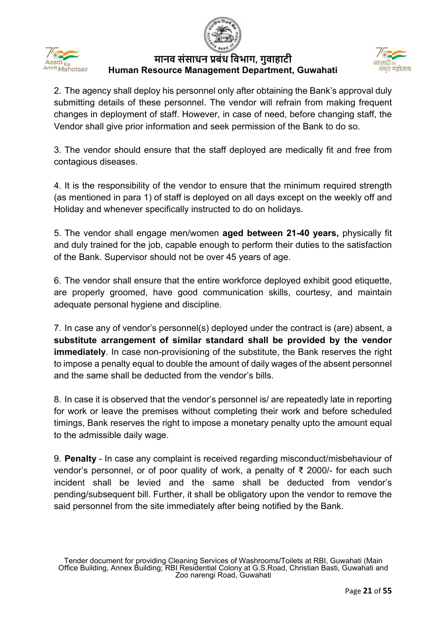





2. The agency shall deploy his personnel only after obtaining the Bank's approval duly submitting details of these personnel. The vendor will refrain from making frequent changes in deployment of staff. However, in case of need, before changing staff, the Vendor shall give prior information and seek permission of the Bank to do so.

3. The vendor should ensure that the staff deployed are medically fit and free from contagious diseases.

4. It is the responsibility of the vendor to ensure that the minimum required strength (as mentioned in para 1) of staff is deployed on all days except on the weekly off and Holiday and whenever specifically instructed to do on holidays.

5. The vendor shall engage men/women **aged between 21-40 years,** physically fit and duly trained for the job, capable enough to perform their duties to the satisfaction of the Bank. Supervisor should not be over 45 years of age.

6. The vendor shall ensure that the entire workforce deployed exhibit good etiquette, are properly groomed, have good communication skills, courtesy, and maintain adequate personal hygiene and discipline.

7. In case any of vendor's personnel(s) deployed under the contract is (are) absent, a **substitute arrangement of similar standard shall be provided by the vendor immediately**. In case non-provisioning of the substitute, the Bank reserves the right to impose a penalty equal to double the amount of daily wages of the absent personnel and the same shall be deducted from the vendor's bills.

8. In case it is observed that the vendor's personnel is/ are repeatedly late in reporting for work or leave the premises without completing their work and before scheduled timings, Bank reserves the right to impose a monetary penalty upto the amount equal to the admissible daily wage.

9. **Penalty** - In case any complaint is received regarding misconduct/misbehaviour of vendor's personnel, or of poor quality of work, a penalty of ₹ 2000/- for each such incident shall be levied and the same shall be deducted from vendor's pending/subsequent bill. Further, it shall be obligatory upon the vendor to remove the said personnel from the site immediately after being notified by the Bank.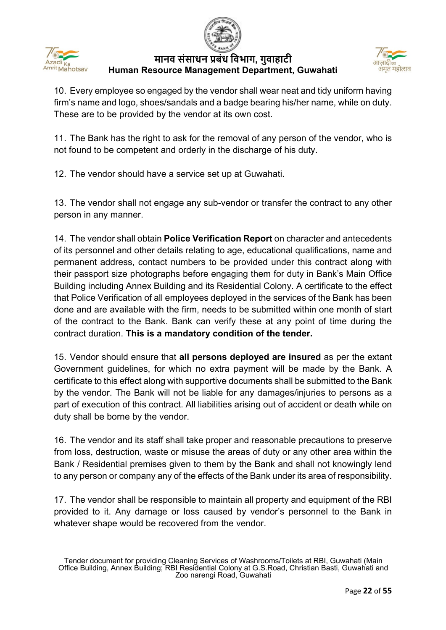





10. Every employee so engaged by the vendor shall wear neat and tidy uniform having firm's name and logo, shoes/sandals and a badge bearing his/her name, while on duty. These are to be provided by the vendor at its own cost.

11. The Bank has the right to ask for the removal of any person of the vendor, who is not found to be competent and orderly in the discharge of his duty.

12. The vendor should have a service set up at Guwahati.

13. The vendor shall not engage any sub-vendor or transfer the contract to any other person in any manner.

14. The vendor shall obtain **Police Verification Report** on character and antecedents of its personnel and other details relating to age, educational qualifications, name and permanent address, contact numbers to be provided under this contract along with their passport size photographs before engaging them for duty in Bank's Main Office Building including Annex Building and its Residential Colony. A certificate to the effect that Police Verification of all employees deployed in the services of the Bank has been done and are available with the firm, needs to be submitted within one month of start of the contract to the Bank. Bank can verify these at any point of time during the contract duration. **This is a mandatory condition of the tender.**

15. Vendor should ensure that **all persons deployed are insured** as per the extant Government guidelines, for which no extra payment will be made by the Bank. A certificate to this effect along with supportive documents shall be submitted to the Bank by the vendor. The Bank will not be liable for any damages/injuries to persons as a part of execution of this contract. All liabilities arising out of accident or death while on duty shall be borne by the vendor.

16. The vendor and its staff shall take proper and reasonable precautions to preserve from loss, destruction, waste or misuse the areas of duty or any other area within the Bank / Residential premises given to them by the Bank and shall not knowingly lend to any person or company any of the effects of the Bank under its area of responsibility.

17. The vendor shall be responsible to maintain all property and equipment of the RBI provided to it. Any damage or loss caused by vendor's personnel to the Bank in whatever shape would be recovered from the vendor.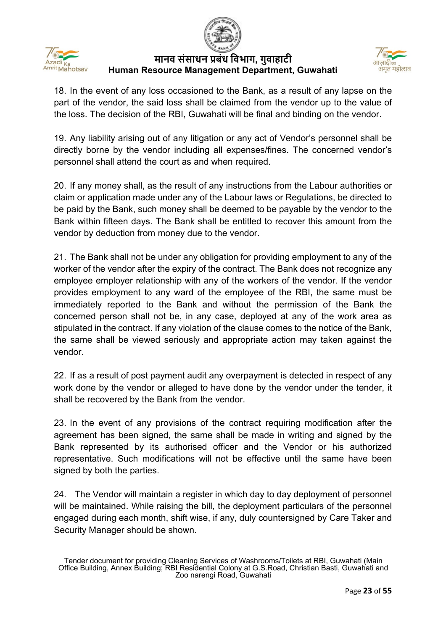





18. In the event of any loss occasioned to the Bank, as a result of any lapse on the part of the vendor, the said loss shall be claimed from the vendor up to the value of the loss. The decision of the RBI, Guwahati will be final and binding on the vendor.

19. Any liability arising out of any litigation or any act of Vendor's personnel shall be directly borne by the vendor including all expenses/fines. The concerned vendor's personnel shall attend the court as and when required.

20. If any money shall, as the result of any instructions from the Labour authorities or claim or application made under any of the Labour laws or Regulations, be directed to be paid by the Bank, such money shall be deemed to be payable by the vendor to the Bank within fifteen days. The Bank shall be entitled to recover this amount from the vendor by deduction from money due to the vendor.

21. The Bank shall not be under any obligation for providing employment to any of the worker of the vendor after the expiry of the contract. The Bank does not recognize any employee employer relationship with any of the workers of the vendor. If the vendor provides employment to any ward of the employee of the RBI, the same must be immediately reported to the Bank and without the permission of the Bank the concerned person shall not be, in any case, deployed at any of the work area as stipulated in the contract. If any violation of the clause comes to the notice of the Bank, the same shall be viewed seriously and appropriate action may taken against the vendor.

22. If as a result of post payment audit any overpayment is detected in respect of any work done by the vendor or alleged to have done by the vendor under the tender, it shall be recovered by the Bank from the vendor.

23. In the event of any provisions of the contract requiring modification after the agreement has been signed, the same shall be made in writing and signed by the Bank represented by its authorised officer and the Vendor or his authorized representative. Such modifications will not be effective until the same have been signed by both the parties.

24. The Vendor will maintain a register in which day to day deployment of personnel will be maintained. While raising the bill, the deployment particulars of the personnel engaged during each month, shift wise, if any, duly countersigned by Care Taker and Security Manager should be shown.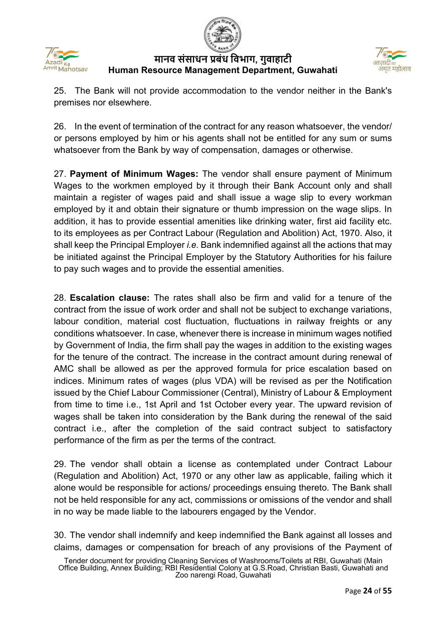





25. The Bank will not provide accommodation to the vendor neither in the Bank's premises nor elsewhere.

26. In the event of termination of the contract for any reason whatsoever, the vendor/ or persons employed by him or his agents shall not be entitled for any sum or sums whatsoever from the Bank by way of compensation, damages or otherwise.

27. **Payment of Minimum Wages:** The vendor shall ensure payment of Minimum Wages to the workmen employed by it through their Bank Account only and shall maintain a register of wages paid and shall issue a wage slip to every workman employed by it and obtain their signature or thumb impression on the wage slips. In addition, it has to provide essential amenities like drinking water, first aid facility etc. to its employees as per Contract Labour (Regulation and Abolition) Act, 1970. Also, it shall keep the Principal Employer *i.e.* Bank indemnified against all the actions that may be initiated against the Principal Employer by the Statutory Authorities for his failure to pay such wages and to provide the essential amenities.

28. **Escalation clause:** The rates shall also be firm and valid for a tenure of the contract from the issue of work order and shall not be subject to exchange variations, labour condition, material cost fluctuation, fluctuations in railway freights or any conditions whatsoever. In case, whenever there is increase in minimum wages notified by Government of India, the firm shall pay the wages in addition to the existing wages for the tenure of the contract. The increase in the contract amount during renewal of AMC shall be allowed as per the approved formula for price escalation based on indices. Minimum rates of wages (plus VDA) will be revised as per the Notification issued by the Chief Labour Commissioner (Central), Ministry of Labour & Employment from time to time i.e., 1st April and 1st October every year. The upward revision of wages shall be taken into consideration by the Bank during the renewal of the said contract i.e., after the completion of the said contract subject to satisfactory performance of the firm as per the terms of the contract.

29. The vendor shall obtain a license as contemplated under Contract Labour (Regulation and Abolition) Act, 1970 or any other law as applicable, failing which it alone would be responsible for actions/ proceedings ensuing thereto. The Bank shall not be held responsible for any act, commissions or omissions of the vendor and shall in no way be made liable to the labourers engaged by the Vendor.

30. The vendor shall indemnify and keep indemnified the Bank against all losses and claims, damages or compensation for breach of any provisions of the Payment of

Tender document for providing Cleaning Services of Washrooms/Toilets at RBI, Guwahati (Main Office Building, Annex Building; RBI Residential Colony at G.S.Road, Christian Basti, Guwahati and Zoo narengi Road, Guwahati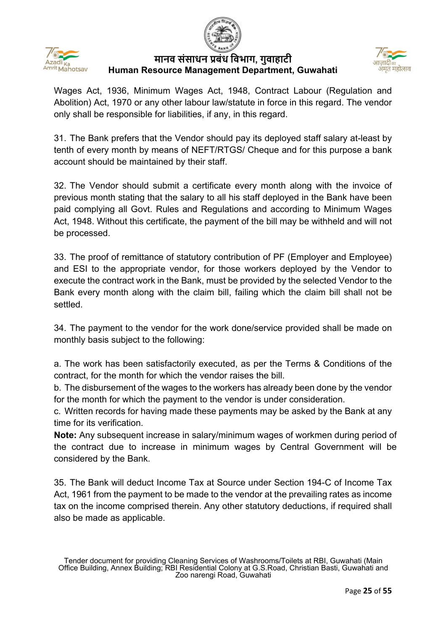



Wages Act, 1936, Minimum Wages Act, 1948, Contract Labour (Regulation and Abolition) Act, 1970 or any other labour law/statute in force in this regard. The vendor only shall be responsible for liabilities, if any, in this regard.

31. The Bank prefers that the Vendor should pay its deployed staff salary at-least by tenth of every month by means of NEFT/RTGS/ Cheque and for this purpose a bank account should be maintained by their staff.

32. The Vendor should submit a certificate every month along with the invoice of previous month stating that the salary to all his staff deployed in the Bank have been paid complying all Govt. Rules and Regulations and according to Minimum Wages Act, 1948. Without this certificate, the payment of the bill may be withheld and will not be processed.

33. The proof of remittance of statutory contribution of PF (Employer and Employee) and ESI to the appropriate vendor, for those workers deployed by the Vendor to execute the contract work in the Bank, must be provided by the selected Vendor to the Bank every month along with the claim bill, failing which the claim bill shall not be settled.

34. The payment to the vendor for the work done/service provided shall be made on monthly basis subject to the following:

a. The work has been satisfactorily executed, as per the Terms & Conditions of the contract, for the month for which the vendor raises the bill.

b. The disbursement of the wages to the workers has already been done by the vendor for the month for which the payment to the vendor is under consideration.

c. Written records for having made these payments may be asked by the Bank at any time for its verification.

**Note:** Any subsequent increase in salary/minimum wages of workmen during period of the contract due to increase in minimum wages by Central Government will be considered by the Bank.

35. The Bank will deduct Income Tax at Source under Section 194-C of Income Tax Act, 1961 from the payment to be made to the vendor at the prevailing rates as income tax on the income comprised therein. Any other statutory deductions, if required shall also be made as applicable.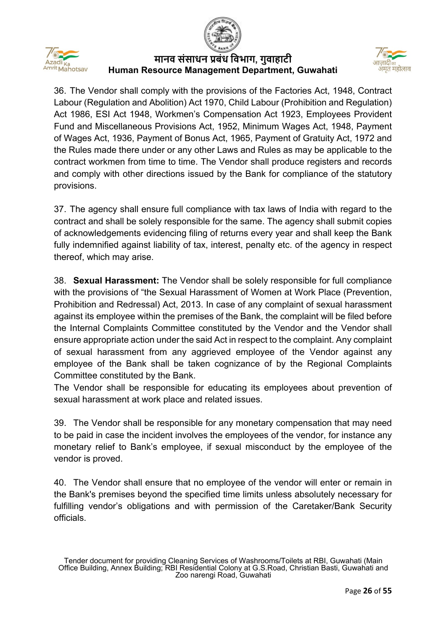





36. The Vendor shall comply with the provisions of the Factories Act, 1948, Contract Labour (Regulation and Abolition) Act 1970, Child Labour (Prohibition and Regulation) Act 1986, ESI Act 1948, Workmen's Compensation Act 1923, Employees Provident Fund and Miscellaneous Provisions Act, 1952, Minimum Wages Act, 1948, Payment of Wages Act, 1936, Payment of Bonus Act, 1965, Payment of Gratuity Act, 1972 and the Rules made there under or any other Laws and Rules as may be applicable to the contract workmen from time to time. The Vendor shall produce registers and records and comply with other directions issued by the Bank for compliance of the statutory provisions.

37. The agency shall ensure full compliance with tax laws of India with regard to the contract and shall be solely responsible for the same. The agency shall submit copies of acknowledgements evidencing filing of returns every year and shall keep the Bank fully indemnified against liability of tax, interest, penalty etc. of the agency in respect thereof, which may arise.

38. **Sexual Harassment:** The Vendor shall be solely responsible for full compliance with the provisions of "the Sexual Harassment of Women at Work Place (Prevention, Prohibition and Redressal) Act, 2013. In case of any complaint of sexual harassment against its employee within the premises of the Bank, the complaint will be filed before the Internal Complaints Committee constituted by the Vendor and the Vendor shall ensure appropriate action under the said Act in respect to the complaint. Any complaint of sexual harassment from any aggrieved employee of the Vendor against any employee of the Bank shall be taken cognizance of by the Regional Complaints Committee constituted by the Bank.

The Vendor shall be responsible for educating its employees about prevention of sexual harassment at work place and related issues.

39. The Vendor shall be responsible for any monetary compensation that may need to be paid in case the incident involves the employees of the vendor, for instance any monetary relief to Bank's employee, if sexual misconduct by the employee of the vendor is proved.

40. The Vendor shall ensure that no employee of the vendor will enter or remain in the Bank's premises beyond the specified time limits unless absolutely necessary for fulfilling vendor's obligations and with permission of the Caretaker/Bank Security officials.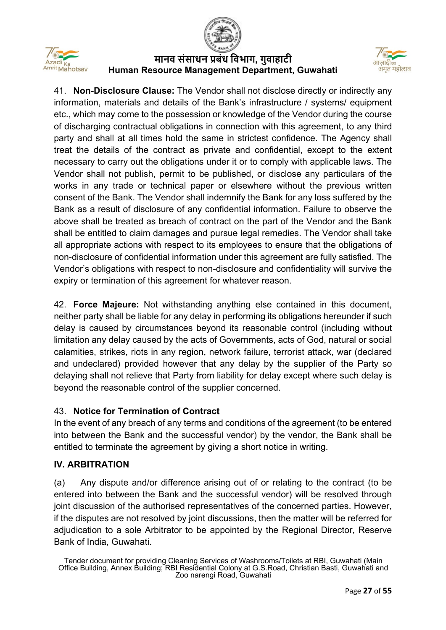



41. **Non-Disclosure Clause:** The Vendor shall not disclose directly or indirectly any information, materials and details of the Bank's infrastructure / systems/ equipment etc., which may come to the possession or knowledge of the Vendor during the course of discharging contractual obligations in connection with this agreement, to any third party and shall at all times hold the same in strictest confidence. The Agency shall treat the details of the contract as private and confidential, except to the extent necessary to carry out the obligations under it or to comply with applicable laws. The Vendor shall not publish, permit to be published, or disclose any particulars of the works in any trade or technical paper or elsewhere without the previous written consent of the Bank. The Vendor shall indemnify the Bank for any loss suffered by the Bank as a result of disclosure of any confidential information. Failure to observe the above shall be treated as breach of contract on the part of the Vendor and the Bank shall be entitled to claim damages and pursue legal remedies. The Vendor shall take all appropriate actions with respect to its employees to ensure that the obligations of non-disclosure of confidential information under this agreement are fully satisfied. The Vendor's obligations with respect to non-disclosure and confidentiality will survive the expiry or termination of this agreement for whatever reason.

42. **Force Majeure:** Not withstanding anything else contained in this document, neither party shall be liable for any delay in performing its obligations hereunder if such delay is caused by circumstances beyond its reasonable control (including without limitation any delay caused by the acts of Governments, acts of God, natural or social calamities, strikes, riots in any region, network failure, terrorist attack, war (declared and undeclared) provided however that any delay by the supplier of the Party so delaying shall not relieve that Party from liability for delay except where such delay is beyond the reasonable control of the supplier concerned.

# 43. **Notice for Termination of Contract**

In the event of any breach of any terms and conditions of the agreement (to be entered into between the Bank and the successful vendor) by the vendor, the Bank shall be entitled to terminate the agreement by giving a short notice in writing.

## **IV. ARBITRATION**

(a) Any dispute and/or difference arising out of or relating to the contract (to be entered into between the Bank and the successful vendor) will be resolved through joint discussion of the authorised representatives of the concerned parties. However, if the disputes are not resolved by joint discussions, then the matter will be referred for adjudication to a sole Arbitrator to be appointed by the Regional Director, Reserve Bank of India, Guwahati.

Tender document for providing Cleaning Services of Washrooms/Toilets at RBI, Guwahati (Main Office Building, Annex Building; RBI Residential Colony at G.S.Road, Christian Basti, Guwahati and Zoo narengi Road, Guwahati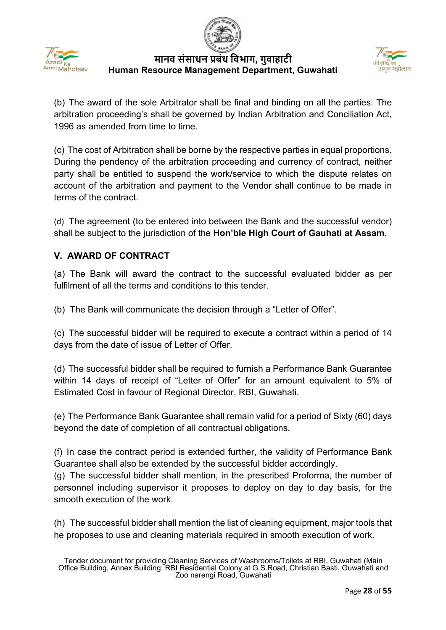



(b) The award of the sole Arbitrator shall be final and binding on all the parties. The arbitration proceeding's shall be governed by Indian Arbitration and Conciliation Act, 1996 as amended from time to time.

(c) The cost of Arbitration shall be borne by the respective parties in equal proportions. During the pendency of the arbitration proceeding and currency of contract, neither party shall be entitled to suspend the work/service to which the dispute relates on account of the arbitration and payment to the Vendor shall continue to be made in terms of the contract.

(d) The agreement (to be entered into between the Bank and the successful vendor) shall be subject to the jurisdiction of the **Hon'ble High Court of Gauhati at Assam.**

# **V. AWARD OF CONTRACT**

(a) The Bank will award the contract to the successful evaluated bidder as per fulfilment of all the terms and conditions to this tender.

(b) The Bank will communicate the decision through a "Letter of Offer".

(c) The successful bidder will be required to execute a contract within a period of 14 days from the date of issue of Letter of Offer.

(d) The successful bidder shall be required to furnish a Performance Bank Guarantee within 14 days of receipt of "Letter of Offer" for an amount equivalent to 5% of Estimated Cost in favour of Regional Director, RBI, Guwahati.

(e) The Performance Bank Guarantee shall remain valid for a period of Sixty (60) days beyond the date of completion of all contractual obligations.

(f) In case the contract period is extended further, the validity of Performance Bank Guarantee shall also be extended by the successful bidder accordingly.

(g) The successful bidder shall mention, in the prescribed Proforma, the number of personnel including supervisor it proposes to deploy on day to day basis, for the smooth execution of the work.

(h) The successful bidder shall mention the list of cleaning equipment, major tools that he proposes to use and cleaning materials required in smooth execution of work.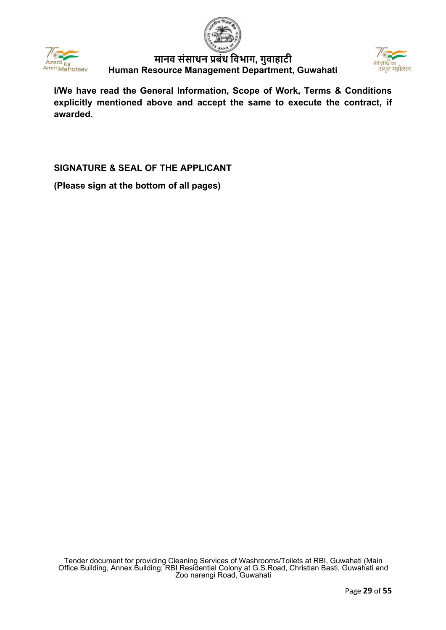

Azadi

**मानव संसाधन प्रबंध िवभाग, गुवाहाटी Human Resource Management Department, Guwahati**



**I/We have read the General Information, Scope of Work, Terms & Conditions explicitly mentioned above and accept the same to execute the contract, if awarded.**

## **SIGNATURE & SEAL OF THE APPLICANT**

**(Please sign at the bottom of all pages)**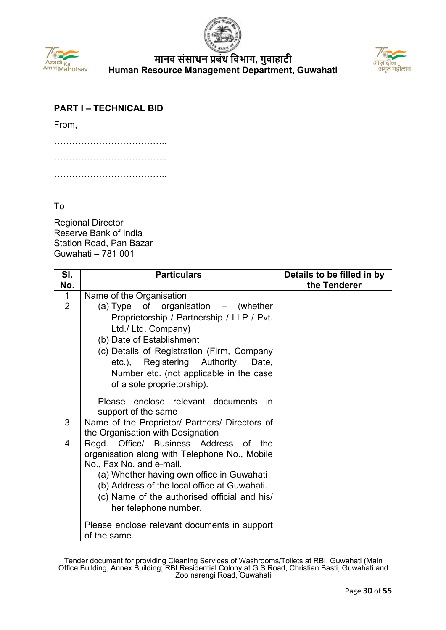



## **PART I – TECHNICAL BID**

From,

## To

Regional Director Reserve Bank of India Station Road, Pan Bazar Guwahati – 781 001

| SI.            | <b>Particulars</b>                                           | Details to be filled in by |
|----------------|--------------------------------------------------------------|----------------------------|
| No.            |                                                              | the Tenderer               |
| $\mathbf{1}$   | Name of the Organisation                                     |                            |
| $\overline{2}$ | (a) Type of organisation - (whether                          |                            |
|                | Proprietorship / Partnership / LLP / Pvt.                    |                            |
|                | Ltd./ Ltd. Company)                                          |                            |
|                | (b) Date of Establishment                                    |                            |
|                | (c) Details of Registration (Firm, Company                   |                            |
|                | etc.), Registering Authority,<br>Date,                       |                            |
|                | Number etc. (not applicable in the case                      |                            |
|                | of a sole proprietorship).                                   |                            |
|                |                                                              |                            |
|                | Please enclose relevant documents<br>-in                     |                            |
|                | support of the same                                          |                            |
| 3              | Name of the Proprietor/ Partners/ Directors of               |                            |
|                | the Organisation with Designation                            |                            |
| 4              | Office/ Business Address<br>Regd.<br>the<br>0f               |                            |
|                | organisation along with Telephone No., Mobile                |                            |
|                | No., Fax No. and e-mail.                                     |                            |
|                | (a) Whether having own office in Guwahati                    |                            |
|                | (b) Address of the local office at Guwahati.                 |                            |
|                | (c) Name of the authorised official and his/                 |                            |
|                | her telephone number.                                        |                            |
|                | Please enclose relevant documents in support<br>of the same. |                            |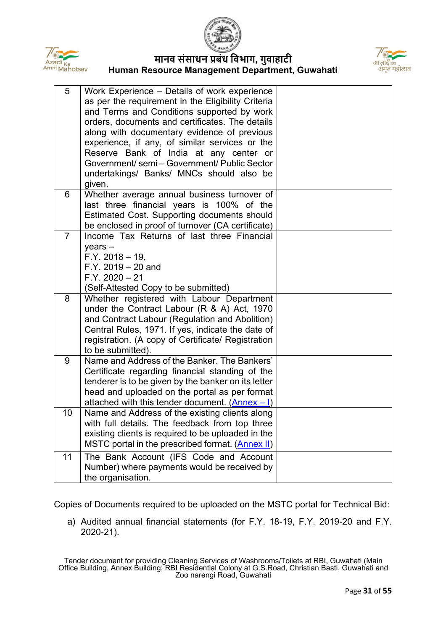





| 5              | Work Experience - Details of work experience<br>as per the requirement in the Eligibility Criteria<br>and Terms and Conditions supported by work<br>orders, documents and certificates. The details<br>along with documentary evidence of previous<br>experience, if any, of similar services or the<br>Reserve Bank of India at any center or<br>Government/ semi - Government/ Public Sector<br>undertakings/ Banks/ MNCs should also be<br>given. |  |
|----------------|------------------------------------------------------------------------------------------------------------------------------------------------------------------------------------------------------------------------------------------------------------------------------------------------------------------------------------------------------------------------------------------------------------------------------------------------------|--|
| 6              | Whether average annual business turnover of<br>last three financial years is 100% of the<br>Estimated Cost. Supporting documents should<br>be enclosed in proof of turnover (CA certificate)                                                                                                                                                                                                                                                         |  |
| $\overline{7}$ | Income Tax Returns of last three Financial<br>$years -$<br>$F.Y. 2018 - 19$<br>$F.Y. 2019 - 20$ and<br>$F.Y. 2020 - 21$<br>(Self-Attested Copy to be submitted)                                                                                                                                                                                                                                                                                      |  |
| 8              | Whether registered with Labour Department<br>under the Contract Labour $(R & A)$ Act, 1970<br>and Contract Labour (Regulation and Abolition)<br>Central Rules, 1971. If yes, indicate the date of<br>registration. (A copy of Certificate/ Registration<br>to be submitted).                                                                                                                                                                         |  |
| 9              | Name and Address of the Banker. The Bankers'<br>Certificate regarding financial standing of the<br>tenderer is to be given by the banker on its letter<br>head and uploaded on the portal as per format<br>attached with this tender document. $(Anhex - I)$                                                                                                                                                                                         |  |
| 10             | Name and Address of the existing clients along<br>with full details. The feedback from top three<br>existing clients is required to be uploaded in the<br>MSTC portal in the prescribed format. (Annex II)                                                                                                                                                                                                                                           |  |
| 11             | The Bank Account (IFS Code and Account<br>Number) where payments would be received by<br>the organisation.                                                                                                                                                                                                                                                                                                                                           |  |

Copies of Documents required to be uploaded on the MSTC portal for Technical Bid:

a) Audited annual financial statements (for F.Y. 18-19, F.Y. 2019-20 and F.Y. 2020-21).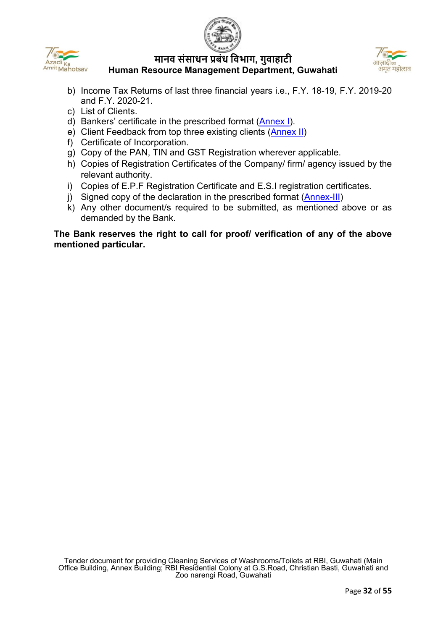





- b) Income Tax Returns of last three financial years i.e., F.Y. 18-19, F.Y. 2019-20 and F.Y. 2020-21.
- c) List of Clients.
- d) Bankers' certificate in the prescribed format [\(Annex I\)](#page-42-0).
- e) Client Feedback from top three existing clients [\(Annex II\)](#page-43-0)
- f) Certificate of Incorporation.
- g) Copy of the PAN, TIN and GST Registration wherever applicable.
- h) Copies of Registration Certificates of the Company/ firm/ agency issued by the relevant authority.
- i) Copies of E.P.F Registration Certificate and E.S.I registration certificates.
- j) Signed copy of the declaration in the prescribed format [\(Annex-III\)](#page-44-0)
- k) Any other document/s required to be submitted, as mentioned above or as demanded by the Bank.

**The Bank reserves the right to call for proof/ verification of any of the above mentioned particular.**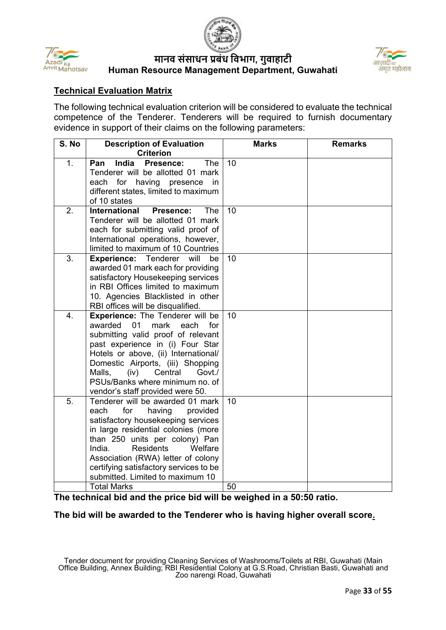





## **Technical Evaluation Matrix**

The following technical evaluation criterion will be considered to evaluate the technical competence of the Tenderer. Tenderers will be required to furnish documentary evidence in support of their claims on the following parameters:

| S. No | <b>Description of Evaluation</b><br><b>Criterion</b>                                                                                                                                                                                                                                                                                                                    | <b>Marks</b> | <b>Remarks</b> |
|-------|-------------------------------------------------------------------------------------------------------------------------------------------------------------------------------------------------------------------------------------------------------------------------------------------------------------------------------------------------------------------------|--------------|----------------|
| 1.    | <b>India</b><br>Presence:<br><b>The</b><br>Pan<br>Tenderer will be allotted 01 mark<br>each<br>for having presence<br>in in<br>different states, limited to maximum<br>of 10 states                                                                                                                                                                                     | 10           |                |
| 2.    | <b>International</b><br><b>Presence:</b><br>The<br>Tenderer will be allotted 01 mark<br>each for submitting valid proof of<br>International operations, however,<br>limited to maximum of 10 Countries                                                                                                                                                                  | 10           |                |
| 3.    | <b>Experience:</b> Tenderer<br>will<br>be<br>awarded 01 mark each for providing<br>satisfactory Housekeeping services<br>in RBI Offices limited to maximum<br>10. Agencies Blacklisted in other<br>RBI offices will be disqualified.                                                                                                                                    | 10           |                |
| 4.    | <b>Experience:</b> The Tenderer will be<br>01<br>awarded<br>mark<br>each<br>for<br>submitting valid proof of relevant<br>past experience in (i) Four Star<br>Hotels or above, (ii) International/<br>Domestic Airports, (iii) Shopping<br>Malls,<br>(iv)<br>Central<br>Govt./<br>PSUs/Banks where minimum no. of<br>vendor's staff provided were 50.                    | 10           |                |
| 5.    | Tenderer will be awarded 01 mark<br>each<br>for<br>having<br>provided<br>satisfactory housekeeping services<br>in large residential colonies (more<br>than 250 units per colony) Pan<br><b>Residents</b><br>India.<br>Welfare<br>Association (RWA) letter of colony<br>certifying satisfactory services to be<br>submitted. Limited to maximum 10<br><b>Total Marks</b> | 10<br>50     |                |

**The technical bid and the price bid will be weighed in a 50:50 ratio.** 

#### **The bid will be awarded to the Tenderer who is having higher overall score.**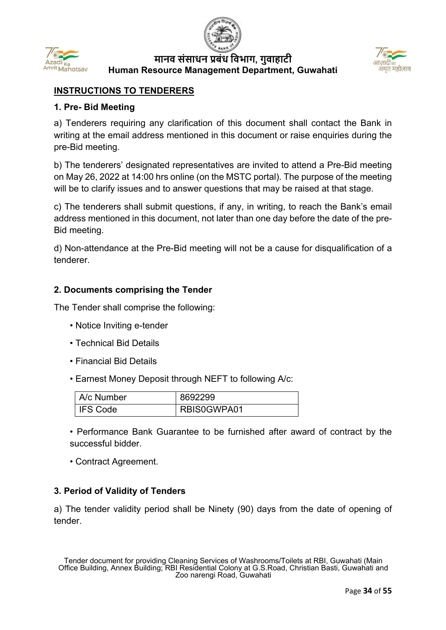



## **INSTRUCTIONS TO TENDERERS**

#### **1. Pre- Bid Meeting**

a) Tenderers requiring any clarification of this document shall contact the Bank in writing at the email address mentioned in this document or raise enquiries during the pre-Bid meeting.

b) The tenderers' designated representatives are invited to attend a Pre-Bid meeting on May 26, 2022 at 14:00 hrs online (on the MSTC portal). The purpose of the meeting will be to clarify issues and to answer questions that may be raised at that stage.

c) The tenderers shall submit questions, if any, in writing, to reach the Bank's email address mentioned in this document, not later than one day before the date of the pre-Bid meeting.

d) Non-attendance at the Pre-Bid meeting will not be a cause for disqualification of a tenderer.

#### **2. Documents comprising the Tender**

The Tender shall comprise the following:

- Notice Inviting e-tender
- Technical Bid Details
- Financial Bid Details
- Earnest Money Deposit through NEFT to following A/c:

| A/c Number | 8692299     |
|------------|-------------|
| I IFS Code | RBIS0GWPA01 |

• Performance Bank Guarantee to be furnished after award of contract by the successful bidder.

• Contract Agreement.

## **3. Period of Validity of Tenders**

a) The tender validity period shall be Ninety (90) days from the date of opening of tender.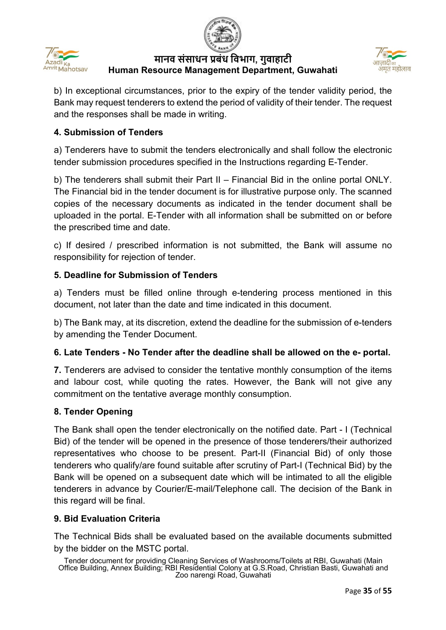





b) In exceptional circumstances, prior to the expiry of the tender validity period, the Bank may request tenderers to extend the period of validity of their tender. The request and the responses shall be made in writing.

## **4. Submission of Tenders**

a) Tenderers have to submit the tenders electronically and shall follow the electronic tender submission procedures specified in the Instructions regarding E-Tender.

b) The tenderers shall submit their Part II – Financial Bid in the online portal ONLY. The Financial bid in the tender document is for illustrative purpose only. The scanned copies of the necessary documents as indicated in the tender document shall be uploaded in the portal. E-Tender with all information shall be submitted on or before the prescribed time and date.

c) If desired / prescribed information is not submitted, the Bank will assume no responsibility for rejection of tender.

## **5. Deadline for Submission of Tenders**

a) Tenders must be filled online through e-tendering process mentioned in this document, not later than the date and time indicated in this document.

b) The Bank may, at its discretion, extend the deadline for the submission of e-tenders by amending the Tender Document.

## **6. Late Tenders - No Tender after the deadline shall be allowed on the e- portal.**

**7.** Tenderers are advised to consider the tentative monthly consumption of the items and labour cost, while quoting the rates. However, the Bank will not give any commitment on the tentative average monthly consumption.

## **8. Tender Opening**

The Bank shall open the tender electronically on the notified date. Part - I (Technical Bid) of the tender will be opened in the presence of those tenderers/their authorized representatives who choose to be present. Part-II (Financial Bid) of only those tenderers who qualify/are found suitable after scrutiny of Part-I (Technical Bid) by the Bank will be opened on a subsequent date which will be intimated to all the eligible tenderers in advance by Courier/E-mail/Telephone call. The decision of the Bank in this regard will be final.

## **9. Bid Evaluation Criteria**

The Technical Bids shall be evaluated based on the available documents submitted by the bidder on the MSTC portal.

Tender document for providing Cleaning Services of Washrooms/Toilets at RBI, Guwahati (Main Office Building, Annex Building; RBI Residential Colony at G.S.Road, Christian Basti, Guwahati and Zoo narengi Road, Guwahati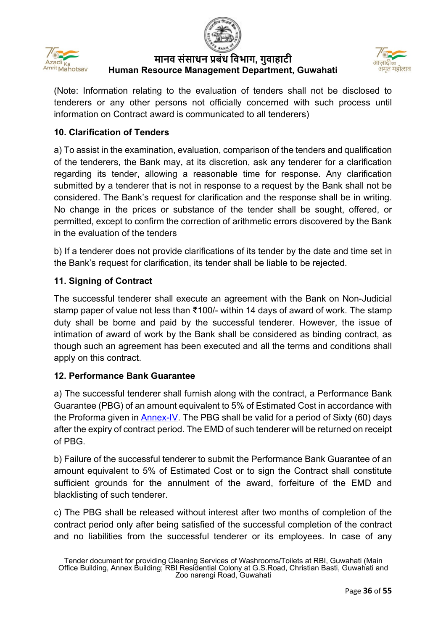



(Note: Information relating to the evaluation of tenders shall not be disclosed to tenderers or any other persons not officially concerned with such process until information on Contract award is communicated to all tenderers)

## **10. Clarification of Tenders**

a) To assist in the examination, evaluation, comparison of the tenders and qualification of the tenderers, the Bank may, at its discretion, ask any tenderer for a clarification regarding its tender, allowing a reasonable time for response. Any clarification submitted by a tenderer that is not in response to a request by the Bank shall not be considered. The Bank's request for clarification and the response shall be in writing. No change in the prices or substance of the tender shall be sought, offered, or permitted, except to confirm the correction of arithmetic errors discovered by the Bank in the evaluation of the tenders

b) If a tenderer does not provide clarifications of its tender by the date and time set in the Bank's request for clarification, its tender shall be liable to be rejected.

## **11. Signing of Contract**

The successful tenderer shall execute an agreement with the Bank on Non-Judicial stamp paper of value not less than ₹100/- within 14 days of award of work. The stamp duty shall be borne and paid by the successful tenderer. However, the issue of intimation of award of work by the Bank shall be considered as binding contract, as though such an agreement has been executed and all the terms and conditions shall apply on this contract.

## **12. Performance Bank Guarantee**

a) The successful tenderer shall furnish along with the contract, a Performance Bank Guarantee (PBG) of an amount equivalent to 5% of Estimated Cost in accordance with the Proforma given in [Annex-IV.](#page-45-0) The PBG shall be valid for a period of Sixty (60) days after the expiry of contract period. The EMD of such tenderer will be returned on receipt of PBG.

b) Failure of the successful tenderer to submit the Performance Bank Guarantee of an amount equivalent to 5% of Estimated Cost or to sign the Contract shall constitute sufficient grounds for the annulment of the award, forfeiture of the EMD and blacklisting of such tenderer.

c) The PBG shall be released without interest after two months of completion of the contract period only after being satisfied of the successful completion of the contract and no liabilities from the successful tenderer or its employees. In case of any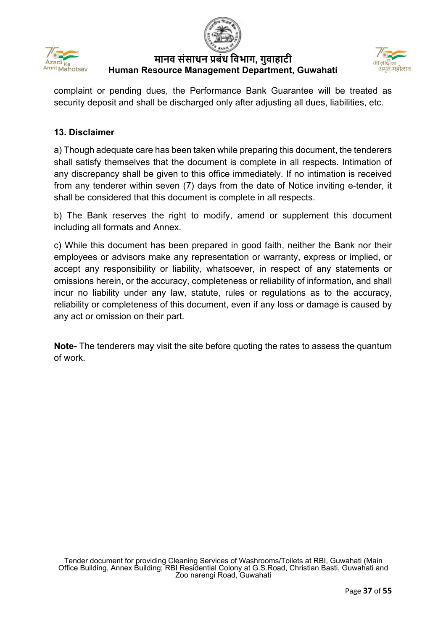





complaint or pending dues, the Performance Bank Guarantee will be treated as security deposit and shall be discharged only after adjusting all dues, liabilities, etc.

## **13. Disclaimer**

a) Though adequate care has been taken while preparing this document, the tenderers shall satisfy themselves that the document is complete in all respects. Intimation of any discrepancy shall be given to this office immediately. If no intimation is received from any tenderer within seven (7) days from the date of Notice inviting e-tender, it shall be considered that this document is complete in all respects.

b) The Bank reserves the right to modify, amend or supplement this document including all formats and Annex.

c) While this document has been prepared in good faith, neither the Bank nor their employees or advisors make any representation or warranty, express or implied, or accept any responsibility or liability, whatsoever, in respect of any statements or omissions herein, or the accuracy, completeness or reliability of information, and shall incur no liability under any law, statute, rules or regulations as to the accuracy, reliability or completeness of this document, even if any loss or damage is caused by any act or omission on their part.

**Note-** The tenderers may visit the site before quoting the rates to assess the quantum of work.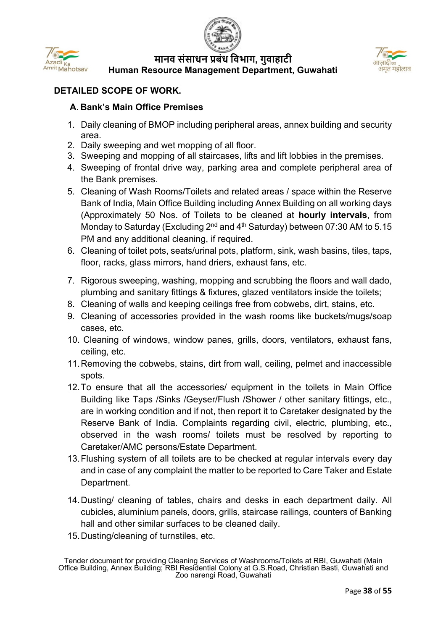



# **DETAILED SCOPE OF WORK.**

#### **A. Bank's Main Office Premises**

- 1. Daily cleaning of BMOP including peripheral areas, annex building and security area.
- 2. Daily sweeping and wet mopping of all floor.
- 3. Sweeping and mopping of all staircases, lifts and lift lobbies in the premises.
- 4. Sweeping of frontal drive way, parking area and complete peripheral area of the Bank premises.
- 5. Cleaning of Wash Rooms/Toilets and related areas / space within the Reserve Bank of India, Main Office Building including Annex Building on all working days (Approximately 50 Nos. of Toilets to be cleaned at **hourly intervals**, from Monday to Saturday (Excluding  $2^{nd}$  and  $4^{th}$  Saturday) between 07:30 AM to 5.15 PM and any additional cleaning, if required.
- 6. Cleaning of toilet pots, seats/urinal pots, platform, sink, wash basins, tiles, taps, floor, racks, glass mirrors, hand driers, exhaust fans, etc.
- 7. Rigorous sweeping, washing, mopping and scrubbing the floors and wall dado, plumbing and sanitary fittings & fixtures, glazed ventilators inside the toilets;
- 8. Cleaning of walls and keeping ceilings free from cobwebs, dirt, stains, etc.
- 9. Cleaning of accessories provided in the wash rooms like buckets/mugs/soap cases, etc.
- 10. Cleaning of windows, window panes, grills, doors, ventilators, exhaust fans, ceiling, etc.
- 11.Removing the cobwebs, stains, dirt from wall, ceiling, pelmet and inaccessible spots.
- 12.To ensure that all the accessories/ equipment in the toilets in Main Office Building like Taps /Sinks /Geyser/Flush /Shower / other sanitary fittings, etc., are in working condition and if not, then report it to Caretaker designated by the Reserve Bank of India. Complaints regarding civil, electric, plumbing, etc., observed in the wash rooms/ toilets must be resolved by reporting to Caretaker/AMC persons/Estate Department.
- 13.Flushing system of all toilets are to be checked at regular intervals every day and in case of any complaint the matter to be reported to Care Taker and Estate Department.
- 14.Dusting/ cleaning of tables, chairs and desks in each department daily. All cubicles, aluminium panels, doors, grills, staircase railings, counters of Banking hall and other similar surfaces to be cleaned daily.
- 15.Dusting/cleaning of turnstiles, etc.

Tender document for providing Cleaning Services of Washrooms/Toilets at RBI, Guwahati (Main Office Building, Annex Building; RBI Residential Colony at G.S.Road, Christian Basti, Guwahati and Zoo narengi Road, Guwahati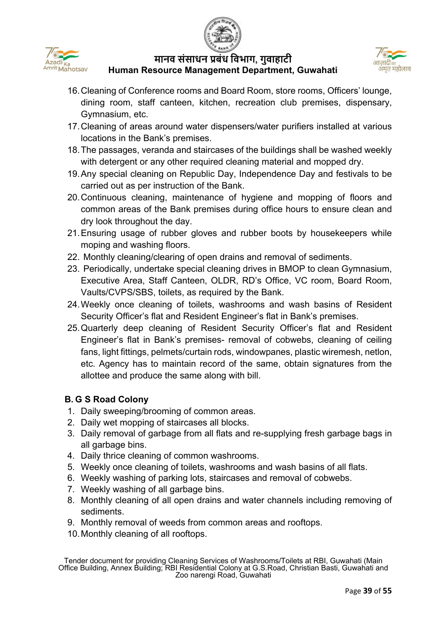





- 16.Cleaning of Conference rooms and Board Room, store rooms, Officers' lounge, dining room, staff canteen, kitchen, recreation club premises, dispensary, Gymnasium, etc.
- 17.Cleaning of areas around water dispensers/water purifiers installed at various locations in the Bank's premises.
- 18.The passages, veranda and staircases of the buildings shall be washed weekly with detergent or any other required cleaning material and mopped dry.
- 19.Any special cleaning on Republic Day, Independence Day and festivals to be carried out as per instruction of the Bank.
- 20.Continuous cleaning, maintenance of hygiene and mopping of floors and common areas of the Bank premises during office hours to ensure clean and dry look throughout the day.
- 21.Ensuring usage of rubber gloves and rubber boots by housekeepers while moping and washing floors.
- 22. Monthly cleaning/clearing of open drains and removal of sediments.
- 23. Periodically, undertake special cleaning drives in BMOP to clean Gymnasium, Executive Area, Staff Canteen, OLDR, RD's Office, VC room, Board Room, Vaults/CVPS/SBS, toilets, as required by the Bank.
- 24.Weekly once cleaning of toilets, washrooms and wash basins of Resident Security Officer's flat and Resident Engineer's flat in Bank's premises.
- 25.Quarterly deep cleaning of Resident Security Officer's flat and Resident Engineer's flat in Bank's premises- removal of cobwebs, cleaning of ceiling fans, light fittings, pelmets/curtain rods, windowpanes, plastic wiremesh, netlon, etc. Agency has to maintain record of the same, obtain signatures from the allottee and produce the same along with bill.

# **B. G S Road Colony**

- 1. Daily sweeping/brooming of common areas.
- 2. Daily wet mopping of staircases all blocks.
- 3. Daily removal of garbage from all flats and re-supplying fresh garbage bags in all garbage bins.
- 4. Daily thrice cleaning of common washrooms.
- 5. Weekly once cleaning of toilets, washrooms and wash basins of all flats.
- 6. Weekly washing of parking lots, staircases and removal of cobwebs.
- 7. Weekly washing of all garbage bins.
- 8. Monthly cleaning of all open drains and water channels including removing of sediments.
- 9. Monthly removal of weeds from common areas and rooftops.
- 10.Monthly cleaning of all rooftops.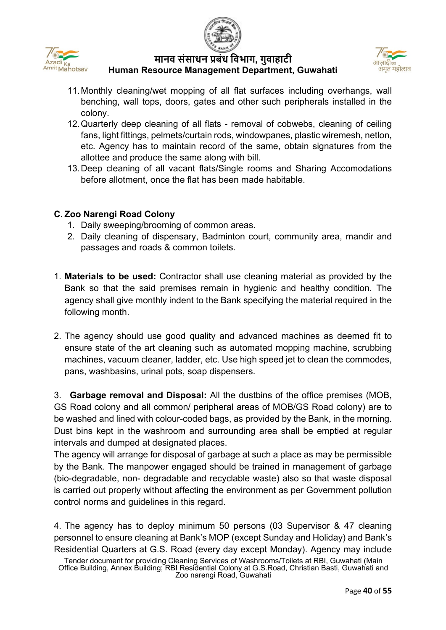





- 11.Monthly cleaning/wet mopping of all flat surfaces including overhangs, wall benching, wall tops, doors, gates and other such peripherals installed in the colony.
- 12.Quarterly deep cleaning of all flats removal of cobwebs, cleaning of ceiling fans, light fittings, pelmets/curtain rods, windowpanes, plastic wiremesh, netlon, etc. Agency has to maintain record of the same, obtain signatures from the allottee and produce the same along with bill.
- 13.Deep cleaning of all vacant flats/Single rooms and Sharing Accomodations before allotment, once the flat has been made habitable.

## **C. Zoo Narengi Road Colony**

- 1. Daily sweeping/brooming of common areas.
- 2. Daily cleaning of dispensary, Badminton court, community area, mandir and passages and roads & common toilets.
- 1. **Materials to be used:** Contractor shall use cleaning material as provided by the Bank so that the said premises remain in hygienic and healthy condition. The agency shall give monthly indent to the Bank specifying the material required in the following month.
- 2. The agency should use good quality and advanced machines as deemed fit to ensure state of the art cleaning such as automated mopping machine, scrubbing machines, vacuum cleaner, ladder, etc. Use high speed jet to clean the commodes, pans, washbasins, urinal pots, soap dispensers.

3. **Garbage removal and Disposal:** All the dustbins of the office premises (MOB, GS Road colony and all common/ peripheral areas of MOB/GS Road colony) are to be washed and lined with colour-coded bags, as provided by the Bank, in the morning. Dust bins kept in the washroom and surrounding area shall be emptied at regular intervals and dumped at designated places.

The agency will arrange for disposal of garbage at such a place as may be permissible by the Bank. The manpower engaged should be trained in management of garbage (bio-degradable, non- degradable and recyclable waste) also so that waste disposal is carried out properly without affecting the environment as per Government pollution control norms and guidelines in this regard.

4. The agency has to deploy minimum 50 persons (03 Supervisor & 47 cleaning personnel to ensure cleaning at Bank's MOP (except Sunday and Holiday) and Bank's Residential Quarters at G.S. Road (every day except Monday). Agency may include

Tender document for providing Cleaning Services of Washrooms/Toilets at RBI, Guwahati (Main Office Building, Annex Building; RBI Residential Colony at G.S.Road, Christian Basti, Guwahati and Zoo narengi Road, Guwahati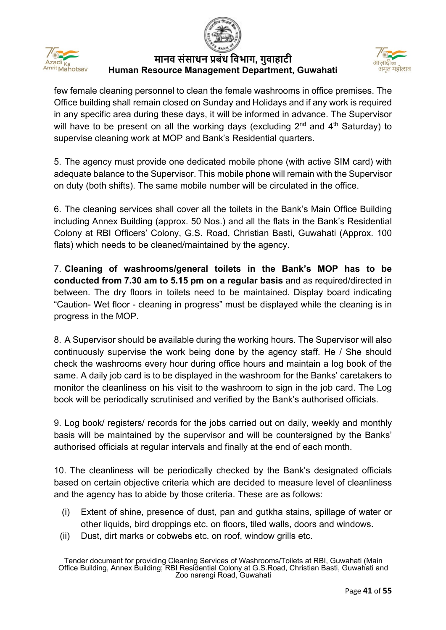





few female cleaning personnel to clean the female washrooms in office premises. The Office building shall remain closed on Sunday and Holidays and if any work is required in any specific area during these days, it will be informed in advance. The Supervisor will have to be present on all the working days (excluding  $2^{nd}$  and  $4^{th}$  Saturday) to supervise cleaning work at MOP and Bank's Residential quarters.

5. The agency must provide one dedicated mobile phone (with active SIM card) with adequate balance to the Supervisor. This mobile phone will remain with the Supervisor on duty (both shifts). The same mobile number will be circulated in the office.

6. The cleaning services shall cover all the toilets in the Bank's Main Office Building including Annex Building (approx. 50 Nos.) and all the flats in the Bank's Residential Colony at RBI Officers' Colony, G.S. Road, Christian Basti, Guwahati (Approx. 100 flats) which needs to be cleaned/maintained by the agency.

7. **Cleaning of washrooms/general toilets in the Bank's MOP has to be conducted from 7.30 am to 5.15 pm on a regular basis** and as required/directed in between. The dry floors in toilets need to be maintained. Display board indicating "Caution- Wet floor - cleaning in progress" must be displayed while the cleaning is in progress in the MOP.

8. A Supervisor should be available during the working hours. The Supervisor will also continuously supervise the work being done by the agency staff. He / She should check the washrooms every hour during office hours and maintain a log book of the same. A daily job card is to be displayed in the washroom for the Banks' caretakers to monitor the cleanliness on his visit to the washroom to sign in the job card. The Log book will be periodically scrutinised and verified by the Bank's authorised officials.

9. Log book/ registers/ records for the jobs carried out on daily, weekly and monthly basis will be maintained by the supervisor and will be countersigned by the Banks' authorised officials at regular intervals and finally at the end of each month.

10. The cleanliness will be periodically checked by the Bank's designated officials based on certain objective criteria which are decided to measure level of cleanliness and the agency has to abide by those criteria. These are as follows:

- (i) Extent of shine, presence of dust, pan and gutkha stains, spillage of water or other liquids, bird droppings etc. on floors, tiled walls, doors and windows.
- (ii) Dust, dirt marks or cobwebs etc. on roof, window grills etc.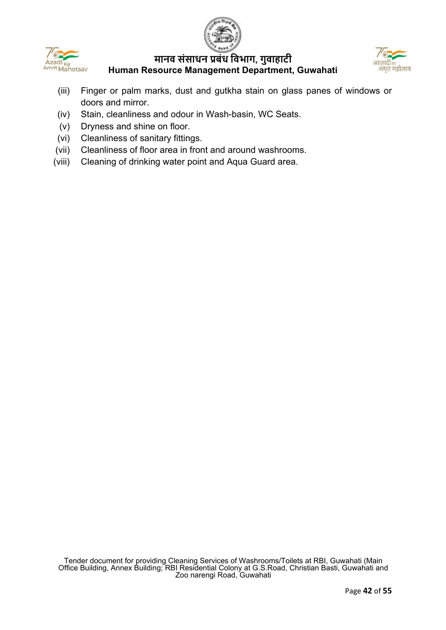





- (iii) Finger or palm marks, dust and gutkha stain on glass panes of windows or doors and mirror.
- (iv) Stain, cleanliness and odour in Wash-basin, WC Seats.
- (v) Dryness and shine on floor.
- (vi) Cleanliness of sanitary fittings.
- (vii) Cleanliness of floor area in front and around washrooms.
- (viii) Cleaning of drinking water point and Aqua Guard area.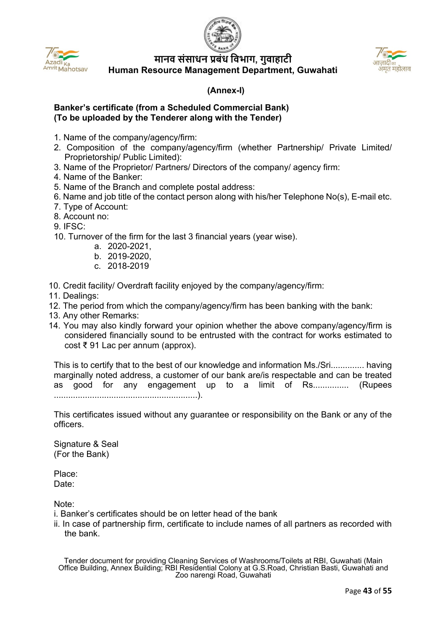



#### <span id="page-42-0"></span> **(Annex-I)**

#### **Banker's certificate (from a Scheduled Commercial Bank) (To be uploaded by the Tenderer along with the Tender)**

- 1. Name of the company/agency/firm:
- 2. Composition of the company/agency/firm (whether Partnership/ Private Limited/ Proprietorship/ Public Limited):
- 3. Name of the Proprietor/ Partners/ Directors of the company/ agency firm:
- 4. Name of the Banker:
- 5. Name of the Branch and complete postal address:
- 6. Name and job title of the contact person along with his/her Telephone No(s), E-mail etc.
- 7. Type of Account:
- 8. Account no:
- 9. IFSC:
- 10. Turnover of the firm for the last 3 financial years (year wise).
	- a. 2020-2021,
	- b. 2019-2020,
	- c. 2018-2019
- 10. Credit facility/ Overdraft facility enjoyed by the company/agency/firm:
- 11. Dealings:
- 12. The period from which the company/agency/firm has been banking with the bank:
- 13. Any other Remarks:
- 14. You may also kindly forward your opinion whether the above company/agency/firm is considered financially sound to be entrusted with the contract for works estimated to cost ₹ 91 Lac per annum (approx).

This is to certify that to the best of our knowledge and information Ms./Sri.............. having marginally noted address, a customer of our bank are/is respectable and can be treated as good for any engagement up to a limit of Rs............... (Rupees ............................................................).

This certificates issued without any guarantee or responsibility on the Bank or any of the officers.

Signature & Seal (For the Bank)

Place: Date:

Note:

- i. Banker's certificates should be on letter head of the bank
- ii. In case of partnership firm, certificate to include names of all partners as recorded with the bank.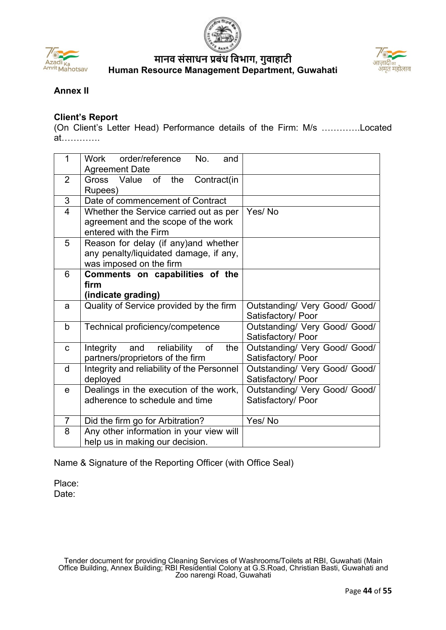





## <span id="page-43-0"></span>**Annex II**

#### **Client's Report**

(On Client's Letter Head) Performance details of the Firm: M/s ………….Located at………….

| $\mathbf 1$    | order/reference<br>Work<br>No.<br>and<br><b>Agreement Date</b>                                             |                                                     |
|----------------|------------------------------------------------------------------------------------------------------------|-----------------------------------------------------|
| 2              | Gross Value of the<br>Contract(in<br>Rupees)                                                               |                                                     |
| $\mathfrak{S}$ | Date of commencement of Contract                                                                           |                                                     |
| $\overline{4}$ | Whether the Service carried out as per<br>agreement and the scope of the work<br>entered with the Firm     | Yes/No                                              |
| 5              | Reason for delay (if any) and whether<br>any penalty/liquidated damage, if any,<br>was imposed on the firm |                                                     |
| 6              | Comments on capabilities of the<br>firm<br>(indicate grading)                                              |                                                     |
| a              | Quality of Service provided by the firm                                                                    | Outstanding/ Very Good/ Good/<br>Satisfactory/ Poor |
| $\mathsf{b}$   | Technical proficiency/competence                                                                           | Outstanding/ Very Good/ Good/<br>Satisfactory/ Poor |
| C              | the<br>Integrity<br>and<br>reliability<br>of<br>partners/proprietors of the firm                           | Outstanding/ Very Good/ Good/<br>Satisfactory/ Poor |
| d              | Integrity and reliability of the Personnel<br>deployed                                                     | Outstanding/ Very Good/ Good/<br>Satisfactory/ Poor |
| e              | Dealings in the execution of the work,<br>adherence to schedule and time                                   | Outstanding/ Very Good/ Good/<br>Satisfactory/ Poor |
| $\overline{7}$ | Did the firm go for Arbitration?                                                                           | Yes/No                                              |
| 8              | Any other information in your view will<br>help us in making our decision.                                 |                                                     |

Name & Signature of the Reporting Officer (with Office Seal)

Place: Date: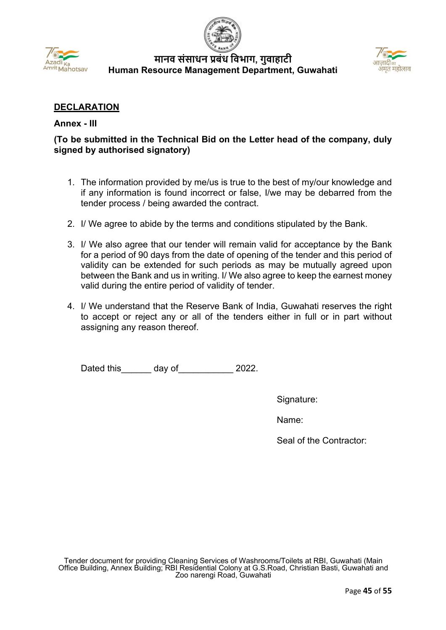



#### **DECLARATION**

#### <span id="page-44-0"></span>**Annex - III**

## **(To be submitted in the Technical Bid on the Letter head of the company, duly signed by authorised signatory)**

- 1. The information provided by me/us is true to the best of my/our knowledge and if any information is found incorrect or false, I/we may be debarred from the tender process / being awarded the contract.
- 2. I/ We agree to abide by the terms and conditions stipulated by the Bank.
- 3. I/ We also agree that our tender will remain valid for acceptance by the Bank for a period of 90 days from the date of opening of the tender and this period of validity can be extended for such periods as may be mutually agreed upon between the Bank and us in writing. I/ We also agree to keep the earnest money valid during the entire period of validity of tender.
- 4. I/ We understand that the Reserve Bank of India, Guwahati reserves the right to accept or reject any or all of the tenders either in full or in part without assigning any reason thereof.

Dated this day of 2022.

Signature:

Name:

Seal of the Contractor: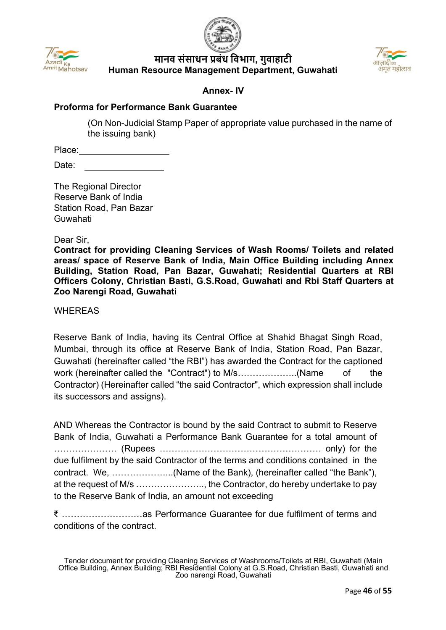



#### **Annex- IV**

#### <span id="page-45-0"></span>**Proforma for Performance Bank Guarantee**

(On Non-Judicial Stamp Paper of appropriate value purchased in the name of the issuing bank)

Place:

Date:

The Regional Director Reserve Bank of India Station Road, Pan Bazar Guwahati

Dear Sir,

**Contract for providing Cleaning Services of Wash Rooms/ Toilets and related areas/ space of Reserve Bank of India, Main Office Building including Annex Building, Station Road, Pan Bazar, Guwahati; Residential Quarters at RBI Officers Colony, Christian Basti, G.S.Road, Guwahati and Rbi Staff Quarters at Zoo Narengi Road, Guwahati**

**WHEREAS** 

Reserve Bank of India, having its Central Office at Shahid Bhagat Singh Road, Mumbai, through its office at Reserve Bank of India, Station Road, Pan Bazar, Guwahati (hereinafter called "the RBI") has awarded the Contract for the captioned work (hereinafter called the "Contract") to M/s…………………(Name of the Contractor) (Hereinafter called "the said Contractor", which expression shall include its successors and assigns).

AND Whereas the Contractor is bound by the said Contract to submit to Reserve Bank of India, Guwahati a Performance Bank Guarantee for a total amount of ………………… (Rupees ……………………………………………… only) for the due fulfilment by the said Contractor of the terms and conditions contained in the contract. We, ………………...(Name of the Bank), (hereinafter called "the Bank"), at the request of M/s ………………….., the Contractor, do hereby undertake to pay to the Reserve Bank of India, an amount not exceeding

₹ ………………………as Performance Guarantee for due fulfilment of terms and conditions of the contract.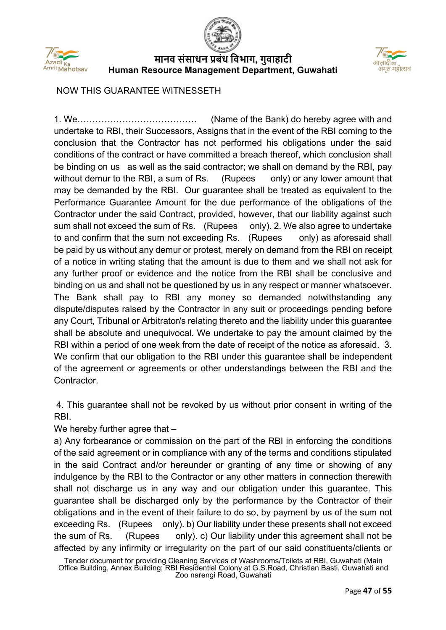





NOW THIS GUARANTEE WITNESSETH

1. We…………………………………. (Name of the Bank) do hereby agree with and undertake to RBI, their Successors, Assigns that in the event of the RBI coming to the conclusion that the Contractor has not performed his obligations under the said conditions of the contract or have committed a breach thereof, which conclusion shall be binding on us as well as the said contractor; we shall on demand by the RBI, pay without demur to the RBI, a sum of Rs.  $(Runees \ only)$  or any lower amount that may be demanded by the RBI. Our guarantee shall be treated as equivalent to the Performance Guarantee Amount for the due performance of the obligations of the Contractor under the said Contract, provided, however, that our liability against such sum shall not exceed the sum of Rs. (Rupees only). 2. We also agree to undertake to and confirm that the sum not exceeding Rs. (Rupees only) as aforesaid shall be paid by us without any demur or protest, merely on demand from the RBI on receipt of a notice in writing stating that the amount is due to them and we shall not ask for any further proof or evidence and the notice from the RBI shall be conclusive and binding on us and shall not be questioned by us in any respect or manner whatsoever. The Bank shall pay to RBI any money so demanded notwithstanding any dispute/disputes raised by the Contractor in any suit or proceedings pending before any Court, Tribunal or Arbitrator/s relating thereto and the liability under this guarantee shall be absolute and unequivocal. We undertake to pay the amount claimed by the RBI within a period of one week from the date of receipt of the notice as aforesaid. 3. We confirm that our obligation to the RBI under this guarantee shall be independent of the agreement or agreements or other understandings between the RBI and the Contractor.

4. This guarantee shall not be revoked by us without prior consent in writing of the RBI.

We hereby further agree that -

a) Any forbearance or commission on the part of the RBI in enforcing the conditions of the said agreement or in compliance with any of the terms and conditions stipulated in the said Contract and/or hereunder or granting of any time or showing of any indulgence by the RBI to the Contractor or any other matters in connection therewith shall not discharge us in any way and our obligation under this guarantee. This guarantee shall be discharged only by the performance by the Contractor of their obligations and in the event of their failure to do so, by payment by us of the sum not exceeding Rs. (Rupees only). b) Our liability under these presents shall not exceed the sum of Rs. (Rupees only). c) Our liability under this agreement shall not be affected by any infirmity or irregularity on the part of our said constituents/clients or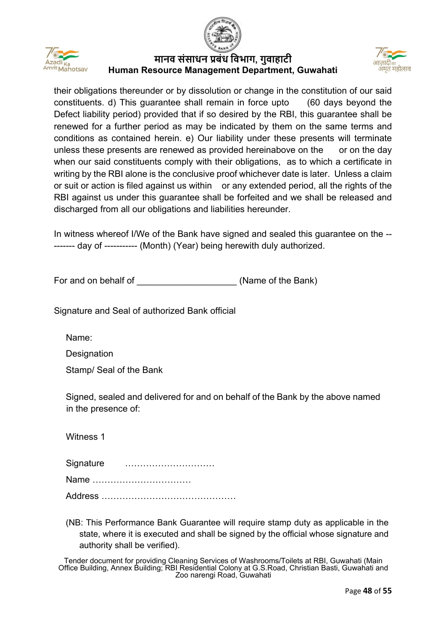





their obligations thereunder or by dissolution or change in the constitution of our said constituents. d) This guarantee shall remain in force upto (60 days beyond the Defect liability period) provided that if so desired by the RBI, this guarantee shall be renewed for a further period as may be indicated by them on the same terms and conditions as contained herein. e) Our liability under these presents will terminate unless these presents are renewed as provided hereinabove on the or on the day when our said constituents comply with their obligations, as to which a certificate in writing by the RBI alone is the conclusive proof whichever date is later. Unless a claim or suit or action is filed against us within or any extended period, all the rights of the RBI against us under this guarantee shall be forfeited and we shall be released and discharged from all our obligations and liabilities hereunder.

In witness whereof I/We of the Bank have signed and sealed this guarantee on the -- ------- day of ----------- (Month) (Year) being herewith duly authorized.

For and on behalf of **Example 20** (Name of the Bank)

Signature and Seal of authorized Bank official

Name:

**Designation** 

Stamp/ Seal of the Bank

Signed, sealed and delivered for and on behalf of the Bank by the above named in the presence of:

Witness 1

Signature …………………………

Name ……………………………

Address ………………………………………

(NB: This Performance Bank Guarantee will require stamp duty as applicable in the state, where it is executed and shall be signed by the official whose signature and authority shall be verified).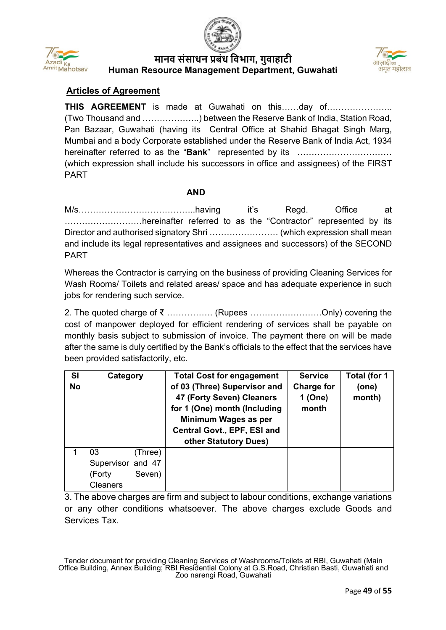





## **Articles of Agreement**

**THIS AGREEMENT** is made at Guwahati on this……day of………………….. (Two Thousand and ………………..) between the Reserve Bank of India, Station Road, Pan Bazaar, Guwahati (having its Central Office at Shahid Bhagat Singh Marg, Mumbai and a body Corporate established under the Reserve Bank of India Act, 1934 hereinafter referred to as the "**Bank**" represented by its …………………………… (which expression shall include his successors in office and assignees) of the FIRST PART

#### **AND**

M/s……………………………………having it's Regd. Office at ………………………hereinafter referred to as the "Contractor" represented by its Director and authorised signatory Shri …………………… (which expression shall mean and include its legal representatives and assignees and successors) of the SECOND PART

Whereas the Contractor is carrying on the business of providing Cleaning Services for Wash Rooms/ Toilets and related areas/ space and has adequate experience in such jobs for rendering such service.

2. The quoted charge of ₹ ……………. (Rupees …………………….Only) covering the cost of manpower deployed for efficient rendering of services shall be payable on monthly basis subject to submission of invoice. The payment there on will be made after the same is duly certified by the Bank's officials to the effect that the services have been provided satisfactorily, etc.

| <b>SI</b> | Category          | <b>Total Cost for engagement</b>                                                                                                                                          | <b>Service</b>                        | Total (for 1    |
|-----------|-------------------|---------------------------------------------------------------------------------------------------------------------------------------------------------------------------|---------------------------------------|-----------------|
| <b>No</b> |                   | of 03 (Three) Supervisor and<br>47 (Forty Seven) Cleaners<br>for 1 (One) month (Including<br>Minimum Wages as per<br>Central Govt., EPF, ESI and<br>other Statutory Dues) | <b>Charge for</b><br>1 (One)<br>month | (one)<br>month) |
|           |                   |                                                                                                                                                                           |                                       |                 |
| 1         | 03<br>(Three)     |                                                                                                                                                                           |                                       |                 |
|           | Supervisor and 47 |                                                                                                                                                                           |                                       |                 |
|           | Seven)<br>(Forty  |                                                                                                                                                                           |                                       |                 |
|           | Cleaners          |                                                                                                                                                                           |                                       |                 |

3. The above charges are firm and subject to labour conditions, exchange variations or any other conditions whatsoever. The above charges exclude Goods and Services Tax.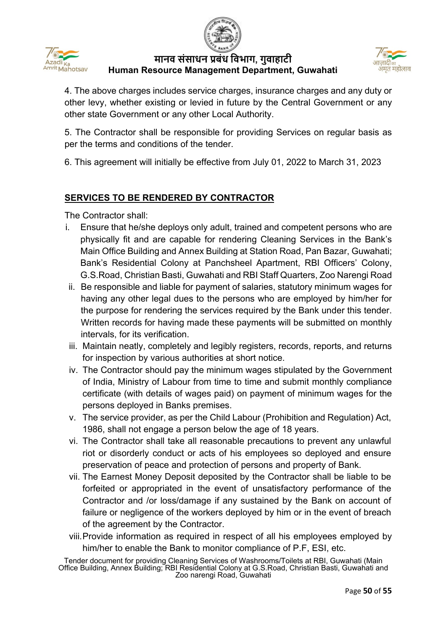





4. The above charges includes service charges, insurance charges and any duty or other levy, whether existing or levied in future by the Central Government or any other state Government or any other Local Authority.

5. The Contractor shall be responsible for providing Services on regular basis as per the terms and conditions of the tender.

6. This agreement will initially be effective from July 01, 2022 to March 31, 2023

# **SERVICES TO BE RENDERED BY CONTRACTOR**

The Contractor shall:

- i. Ensure that he/she deploys only adult, trained and competent persons who are physically fit and are capable for rendering Cleaning Services in the Bank's Main Office Building and Annex Building at Station Road, Pan Bazar, Guwahati; Bank's Residential Colony at Panchsheel Apartment, RBI Officers' Colony, G.S.Road, Christian Basti, Guwahati and RBI Staff Quarters, Zoo Narengi Road
- ii. Be responsible and liable for payment of salaries, statutory minimum wages for having any other legal dues to the persons who are employed by him/her for the purpose for rendering the services required by the Bank under this tender. Written records for having made these payments will be submitted on monthly intervals, for its verification.
- iii. Maintain neatly, completely and legibly registers, records, reports, and returns for inspection by various authorities at short notice.
- iv. The Contractor should pay the minimum wages stipulated by the Government of India, Ministry of Labour from time to time and submit monthly compliance certificate (with details of wages paid) on payment of minimum wages for the persons deployed in Banks premises.
- v. The service provider, as per the Child Labour (Prohibition and Regulation) Act, 1986, shall not engage a person below the age of 18 years.
- vi. The Contractor shall take all reasonable precautions to prevent any unlawful riot or disorderly conduct or acts of his employees so deployed and ensure preservation of peace and protection of persons and property of Bank.
- vii. The Earnest Money Deposit deposited by the Contractor shall be liable to be forfeited or appropriated in the event of unsatisfactory performance of the Contractor and /or loss/damage if any sustained by the Bank on account of failure or negligence of the workers deployed by him or in the event of breach of the agreement by the Contractor.
- viii.Provide information as required in respect of all his employees employed by him/her to enable the Bank to monitor compliance of P.F, ESI, etc.

Tender document for providing Cleaning Services of Washrooms/Toilets at RBI, Guwahati (Main Office Building, Annex Building; RBI Residential Colony at G.S.Road, Christian Basti, Guwahati and Zoo narengi Road, Guwahati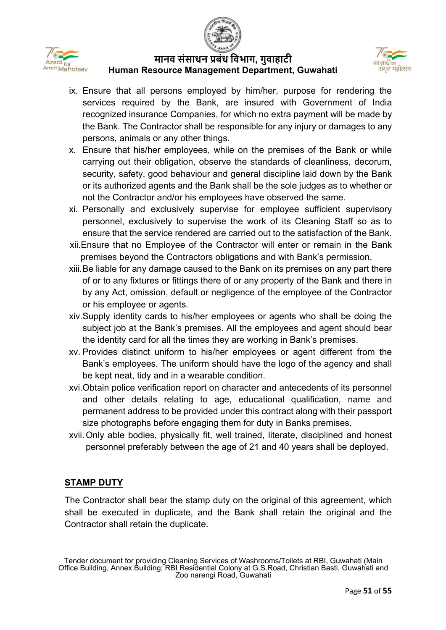



- ix. Ensure that all persons employed by him/her, purpose for rendering the services required by the Bank, are insured with Government of India recognized insurance Companies, for which no extra payment will be made by the Bank. The Contractor shall be responsible for any injury or damages to any persons, animals or any other things.
- x. Ensure that his/her employees, while on the premises of the Bank or while carrying out their obligation, observe the standards of cleanliness, decorum, security, safety, good behaviour and general discipline laid down by the Bank or its authorized agents and the Bank shall be the sole judges as to whether or not the Contractor and/or his employees have observed the same.
- xi. Personally and exclusively supervise for employee sufficient supervisory personnel, exclusively to supervise the work of its Cleaning Staff so as to ensure that the service rendered are carried out to the satisfaction of the Bank.
- xii.Ensure that no Employee of the Contractor will enter or remain in the Bank premises beyond the Contractors obligations and with Bank's permission.
- xiii.Be liable for any damage caused to the Bank on its premises on any part there of or to any fixtures or fittings there of or any property of the Bank and there in by any Act, omission, default or negligence of the employee of the Contractor or his employee or agents.
- xiv.Supply identity cards to his/her employees or agents who shall be doing the subject job at the Bank's premises. All the employees and agent should bear the identity card for all the times they are working in Bank's premises.
- xv. Provides distinct uniform to his/her employees or agent different from the Bank's employees. The uniform should have the logo of the agency and shall be kept neat, tidy and in a wearable condition.
- xvi.Obtain police verification report on character and antecedents of its personnel and other details relating to age, educational qualification, name and permanent address to be provided under this contract along with their passport size photographs before engaging them for duty in Banks premises.
- xvii.Only able bodies, physically fit, well trained, literate, disciplined and honest personnel preferably between the age of 21 and 40 years shall be deployed.

## **STAMP DUTY**

The Contractor shall bear the stamp duty on the original of this agreement, which shall be executed in duplicate, and the Bank shall retain the original and the Contractor shall retain the duplicate.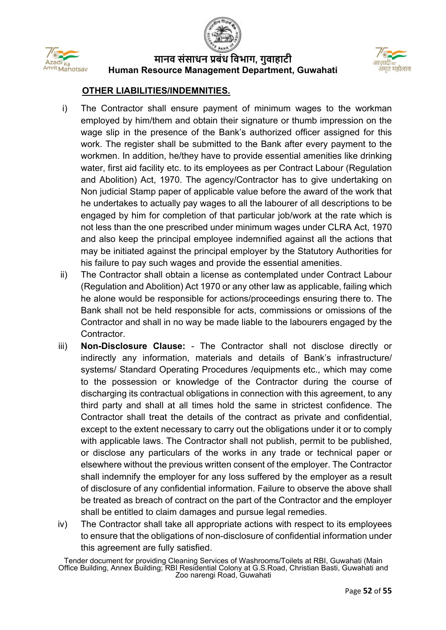



#### **OTHER LIABILITIES/INDEMNITIES.**

- i) The Contractor shall ensure payment of minimum wages to the workman employed by him/them and obtain their signature or thumb impression on the wage slip in the presence of the Bank's authorized officer assigned for this work. The register shall be submitted to the Bank after every payment to the workmen. In addition, he/they have to provide essential amenities like drinking water, first aid facility etc. to its employees as per Contract Labour (Regulation and Abolition) Act, 1970. The agency/Contractor has to give undertaking on Non judicial Stamp paper of applicable value before the award of the work that he undertakes to actually pay wages to all the labourer of all descriptions to be engaged by him for completion of that particular job/work at the rate which is not less than the one prescribed under minimum wages under CLRA Act, 1970 and also keep the principal employee indemnified against all the actions that may be initiated against the principal employer by the Statutory Authorities for his failure to pay such wages and provide the essential amenities.
- ii) The Contractor shall obtain a license as contemplated under Contract Labour (Regulation and Abolition) Act 1970 or any other law as applicable, failing which he alone would be responsible for actions/proceedings ensuring there to. The Bank shall not be held responsible for acts, commissions or omissions of the Contractor and shall in no way be made liable to the labourers engaged by the **Contractor**
- iii) **Non-Disclosure Clause:** The Contractor shall not disclose directly or indirectly any information, materials and details of Bank's infrastructure/ systems/ Standard Operating Procedures /equipments etc., which may come to the possession or knowledge of the Contractor during the course of discharging its contractual obligations in connection with this agreement, to any third party and shall at all times hold the same in strictest confidence. The Contractor shall treat the details of the contract as private and confidential, except to the extent necessary to carry out the obligations under it or to comply with applicable laws. The Contractor shall not publish, permit to be published, or disclose any particulars of the works in any trade or technical paper or elsewhere without the previous written consent of the employer. The Contractor shall indemnify the employer for any loss suffered by the employer as a result of disclosure of any confidential information. Failure to observe the above shall be treated as breach of contract on the part of the Contractor and the employer shall be entitled to claim damages and pursue legal remedies.
- iv) The Contractor shall take all appropriate actions with respect to its employees to ensure that the obligations of non-disclosure of confidential information under this agreement are fully satisfied.

Tender document for providing Cleaning Services of Washrooms/Toilets at RBI, Guwahati (Main Office Building, Annex Building; RBI Residential Colony at G.S.Road, Christian Basti, Guwahati and Zoo narengi Road, Guwahati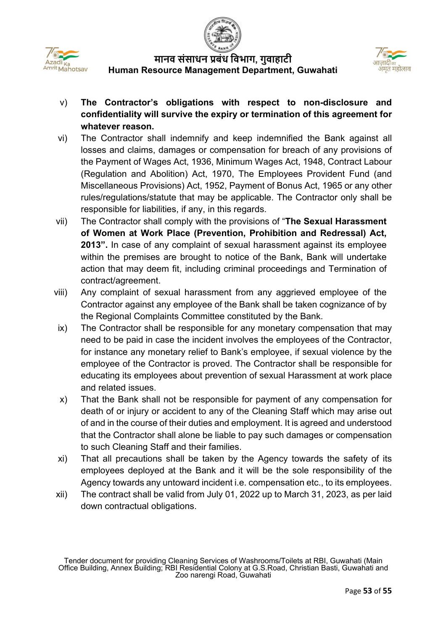



- v) **The Contractor's obligations with respect to non-disclosure and confidentiality will survive the expiry or termination of this agreement for whatever reason.**
- vi) The Contractor shall indemnify and keep indemnified the Bank against all losses and claims, damages or compensation for breach of any provisions of the Payment of Wages Act, 1936, Minimum Wages Act, 1948, Contract Labour (Regulation and Abolition) Act, 1970, The Employees Provident Fund (and Miscellaneous Provisions) Act, 1952, Payment of Bonus Act, 1965 or any other rules/regulations/statute that may be applicable. The Contractor only shall be responsible for liabilities, if any, in this regards.
- vii) The Contractor shall comply with the provisions of "**The Sexual Harassment of Women at Work Place (Prevention, Prohibition and Redressal) Act, 2013".** In case of any complaint of sexual harassment against its employee within the premises are brought to notice of the Bank, Bank will undertake action that may deem fit, including criminal proceedings and Termination of contract/agreement.
- viii) Any complaint of sexual harassment from any aggrieved employee of the Contractor against any employee of the Bank shall be taken cognizance of by the Regional Complaints Committee constituted by the Bank.
- ix) The Contractor shall be responsible for any monetary compensation that may need to be paid in case the incident involves the employees of the Contractor, for instance any monetary relief to Bank's employee, if sexual violence by the employee of the Contractor is proved. The Contractor shall be responsible for educating its employees about prevention of sexual Harassment at work place and related issues.
- x) That the Bank shall not be responsible for payment of any compensation for death of or injury or accident to any of the Cleaning Staff which may arise out of and in the course of their duties and employment. It is agreed and understood that the Contractor shall alone be liable to pay such damages or compensation to such Cleaning Staff and their families.
- xi) That all precautions shall be taken by the Agency towards the safety of its employees deployed at the Bank and it will be the sole responsibility of the Agency towards any untoward incident i.e. compensation etc., to its employees.
- xii) The contract shall be valid from July 01, 2022 up to March 31, 2023, as per laid down contractual obligations.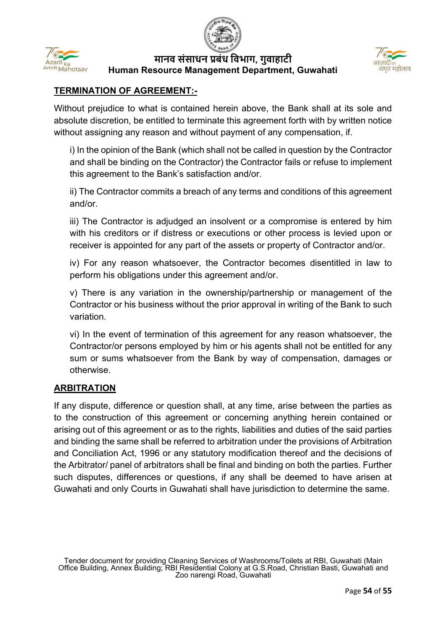



## **TERMINATION OF AGREEMENT:-**

Without prejudice to what is contained herein above, the Bank shall at its sole and absolute discretion, be entitled to terminate this agreement forth with by written notice without assigning any reason and without payment of any compensation, if.

i) In the opinion of the Bank (which shall not be called in question by the Contractor and shall be binding on the Contractor) the Contractor fails or refuse to implement this agreement to the Bank's satisfaction and/or.

ii) The Contractor commits a breach of any terms and conditions of this agreement and/or.

iii) The Contractor is adjudged an insolvent or a compromise is entered by him with his creditors or if distress or executions or other process is levied upon or receiver is appointed for any part of the assets or property of Contractor and/or.

iv) For any reason whatsoever, the Contractor becomes disentitled in law to perform his obligations under this agreement and/or.

v) There is any variation in the ownership/partnership or management of the Contractor or his business without the prior approval in writing of the Bank to such variation.

vi) In the event of termination of this agreement for any reason whatsoever, the Contractor/or persons employed by him or his agents shall not be entitled for any sum or sums whatsoever from the Bank by way of compensation, damages or otherwise.

## **ARBITRATION**

If any dispute, difference or question shall, at any time, arise between the parties as to the construction of this agreement or concerning anything herein contained or arising out of this agreement or as to the rights, liabilities and duties of the said parties and binding the same shall be referred to arbitration under the provisions of Arbitration and Conciliation Act, 1996 or any statutory modification thereof and the decisions of the Arbitrator/ panel of arbitrators shall be final and binding on both the parties. Further such disputes, differences or questions, if any shall be deemed to have arisen at Guwahati and only Courts in Guwahati shall have jurisdiction to determine the same.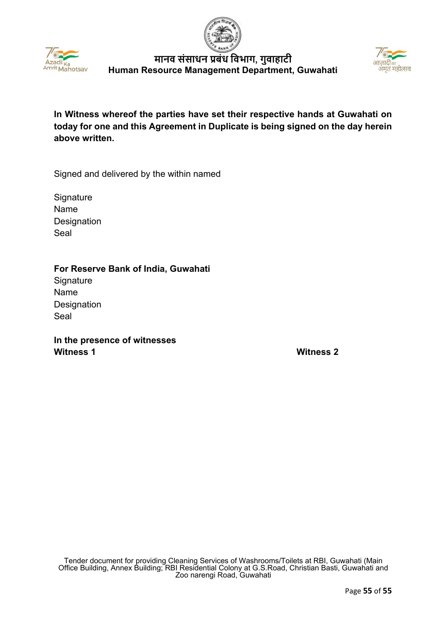





**In Witness whereof the parties have set their respective hands at Guwahati on today for one and this Agreement in Duplicate is being signed on the day herein above written.** 

Signed and delivered by the within named

**Signature** Name **Designation** Seal

#### **For Reserve Bank of India, Guwahati**

**Signature** Name **Designation** Seal

**In the presence of witnesses Witness 1 Witness 2**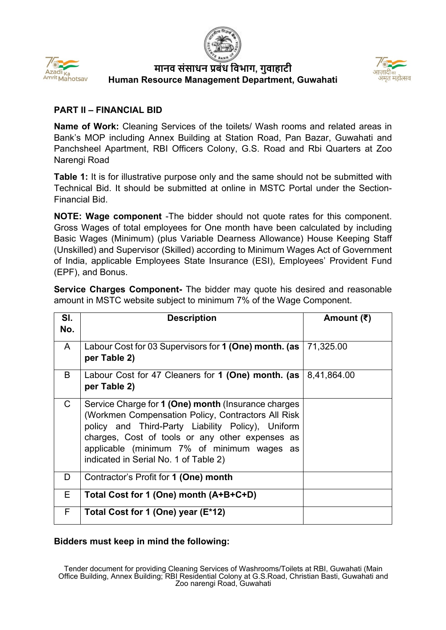





#### **PART II – FINANCIAL BID**

**Name of Work:** Cleaning Services of the toilets/ Wash rooms and related areas in Bank's MOP including Annex Building at Station Road, Pan Bazar, Guwahati and Panchsheel Apartment, RBI Officers Colony, G.S. Road and Rbi Quarters at Zoo Narengi Road

**Table 1:** It is for illustrative purpose only and the same should not be submitted with Technical Bid. It should be submitted at online in MSTC Portal under the Section-Financial Bid.

**NOTE: Wage component** -The bidder should not quote rates for this component. Gross Wages of total employees for One month have been calculated by including Basic Wages (Minimum) (plus Variable Dearness Allowance) House Keeping Staff (Unskilled) and Supervisor (Skilled) according to Minimum Wages Act of Government of India, applicable Employees State Insurance (ESI), Employees' Provident Fund (EPF), and Bonus.

**Service Charges Component-** The bidder may quote his desired and reasonable amount in MSTC website subject to minimum 7% of the Wage Component.

| SI.<br>No.   | <b>Description</b>                                                                                                                                                                                                                                                                                        | Amount (₹)  |
|--------------|-----------------------------------------------------------------------------------------------------------------------------------------------------------------------------------------------------------------------------------------------------------------------------------------------------------|-------------|
| $\mathsf{A}$ | Labour Cost for 03 Supervisors for 1 (One) month. (as<br>per Table 2)                                                                                                                                                                                                                                     | 71,325.00   |
| B            | Labour Cost for 47 Cleaners for 1 (One) month. (as<br>per Table 2)                                                                                                                                                                                                                                        | 8,41,864.00 |
| $\mathsf{C}$ | Service Charge for 1 (One) month (Insurance charges<br>(Workmen Compensation Policy, Contractors All Risk)<br>policy and Third-Party Liability Policy), Uniform<br>charges, Cost of tools or any other expenses as<br>applicable (minimum 7% of minimum wages as<br>indicated in Serial No. 1 of Table 2) |             |
| D            | Contractor's Profit for 1 (One) month                                                                                                                                                                                                                                                                     |             |
| E            | Total Cost for 1 (One) month (A+B+C+D)                                                                                                                                                                                                                                                                    |             |
| F            | Total Cost for 1 (One) year (E*12)                                                                                                                                                                                                                                                                        |             |

## **Bidders must keep in mind the following:**